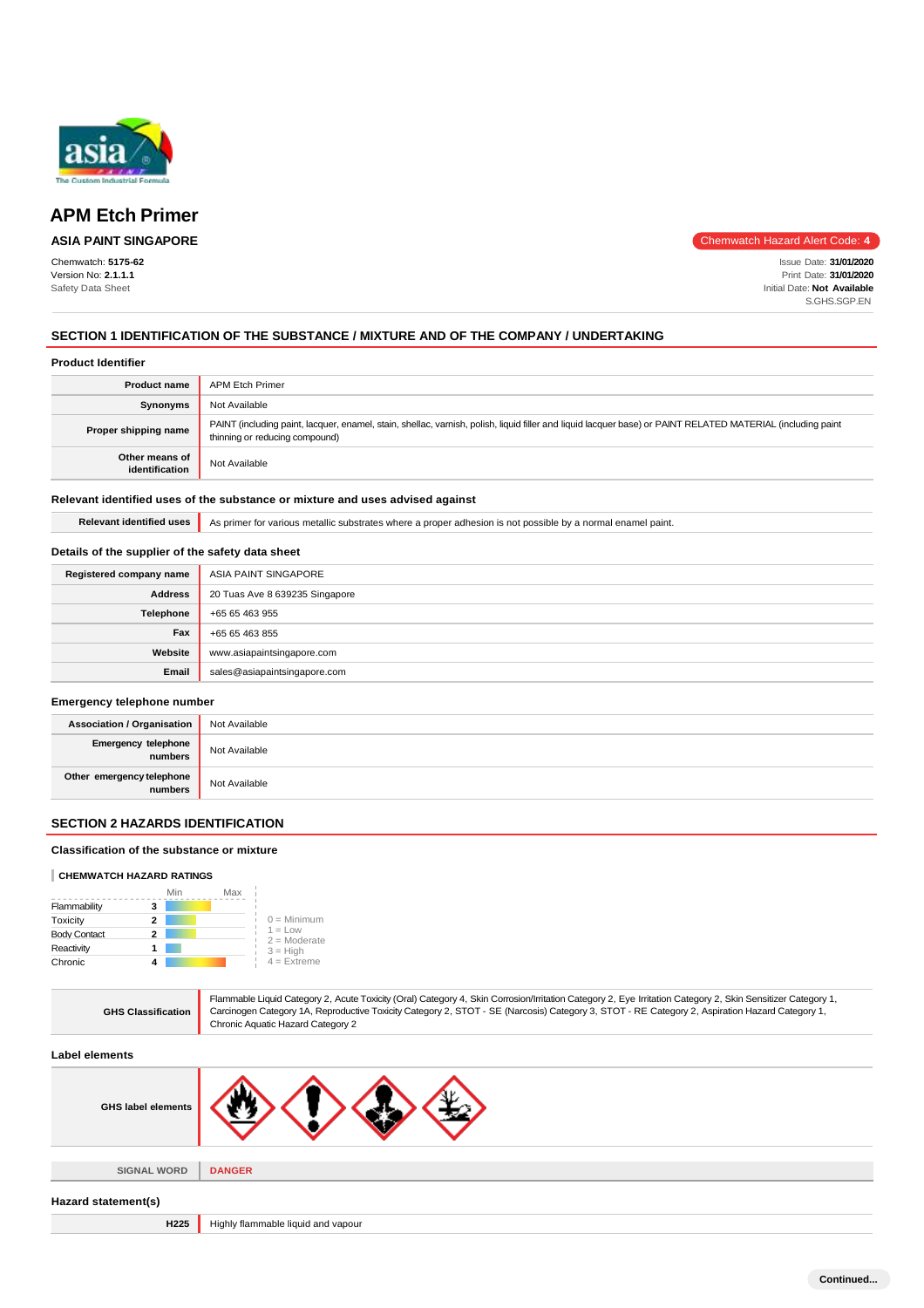

## **ASIA PAINT SINGAPORE**

Chemwatch: **5175-62** Version No: **2.1.1.1** Safety Data Sheet

Chemwatch Hazard Alert Code: **4**

Issue Date: **31/01/2020** Print Date: **31/01/2020** Initial Date: **Not Available** S.GHS.SGP.EN

## **SECTION 1 IDENTIFICATION OF THE SUBSTANCE / MIXTURE AND OF THE COMPANY / UNDERTAKING**

#### **Product Identifier**

| <b>Product name</b>              | <b>APM Etch Primer</b>                                                                                                                                                                        |
|----------------------------------|-----------------------------------------------------------------------------------------------------------------------------------------------------------------------------------------------|
| Synonyms                         | Not Available                                                                                                                                                                                 |
| Proper shipping name             | PAINT (including paint, lacquer, enamel, stain, shellac, varnish, polish, liquid filler and liquid lacquer base) or PAINT RELATED MATERIAL (including paint<br>thinning or reducing compound) |
| Other means of<br>identification | Not Available                                                                                                                                                                                 |

#### **Relevant identified uses of the substance or mixture and uses advised against**

Relevant identified uses **As primer for various metallic substrates where a proper adhesion is not possible by a normal enamel paint.** 

## **Details of the supplier of the safety data sheet**

| Registered company name | ASIA PAINT SINGAPORE           |
|-------------------------|--------------------------------|
| <b>Address</b>          | 20 Tuas Ave 8 639235 Singapore |
| Telephone               | +65 65 463 955                 |
| Fax                     | +65 65 463 855                 |
| Website                 | www.asiapaintsingapore.com     |
| Email                   | sales@asiapaintsingapore.com   |

#### **Emergency telephone number**

| <b>Association / Organisation</b>    | Not Available |
|--------------------------------------|---------------|
| Emergency telephone<br>numbers       | Not Available |
| Other emergency telephone<br>numbers | Not Available |

## **SECTION 2 HAZARDS IDENTIFICATION**

#### **Classification of the substance or mixture**

#### **CHEMWATCH HAZARD RATINGS**

|                     | Min | Max |                             |
|---------------------|-----|-----|-----------------------------|
| Flammability        | з   |     |                             |
| Toxicity            | 2   |     | $0 =$ Minimum               |
| <b>Body Contact</b> | 2   |     | $1 = Low$<br>$2 =$ Moderate |
| Reactivity          |     |     | $3 = High$                  |
| Chronic             |     |     | $4$ = Extreme               |

| <b>GHS Classification</b> | Flammable Liquid Category 2, Acute Toxicity (Oral) Category 4, Skin Corrosion/Irritation Category 2, Eye Irritation Category 2, Skin Sensitizer Category 1,<br>Carcinogen Category 1A, Reproductive Toxicity Category 2, STOT - SE (Narcosis) Category 3, STOT - RE Category 2, Aspiration Hazard Category 1,<br>Chronic Aquatic Hazard Category 2 |
|---------------------------|----------------------------------------------------------------------------------------------------------------------------------------------------------------------------------------------------------------------------------------------------------------------------------------------------------------------------------------------------|
| Label elements            |                                                                                                                                                                                                                                                                                                                                                    |
| <b>GHS label elements</b> |                                                                                                                                                                                                                                                                                                                                                    |
|                           |                                                                                                                                                                                                                                                                                                                                                    |
| <b>SIGNAL WORD</b>        | <b>DANGER</b>                                                                                                                                                                                                                                                                                                                                      |
| Hazard statement(s)       |                                                                                                                                                                                                                                                                                                                                                    |
| H <sub>225</sub>          | Highly flammable liquid and vapour                                                                                                                                                                                                                                                                                                                 |
|                           |                                                                                                                                                                                                                                                                                                                                                    |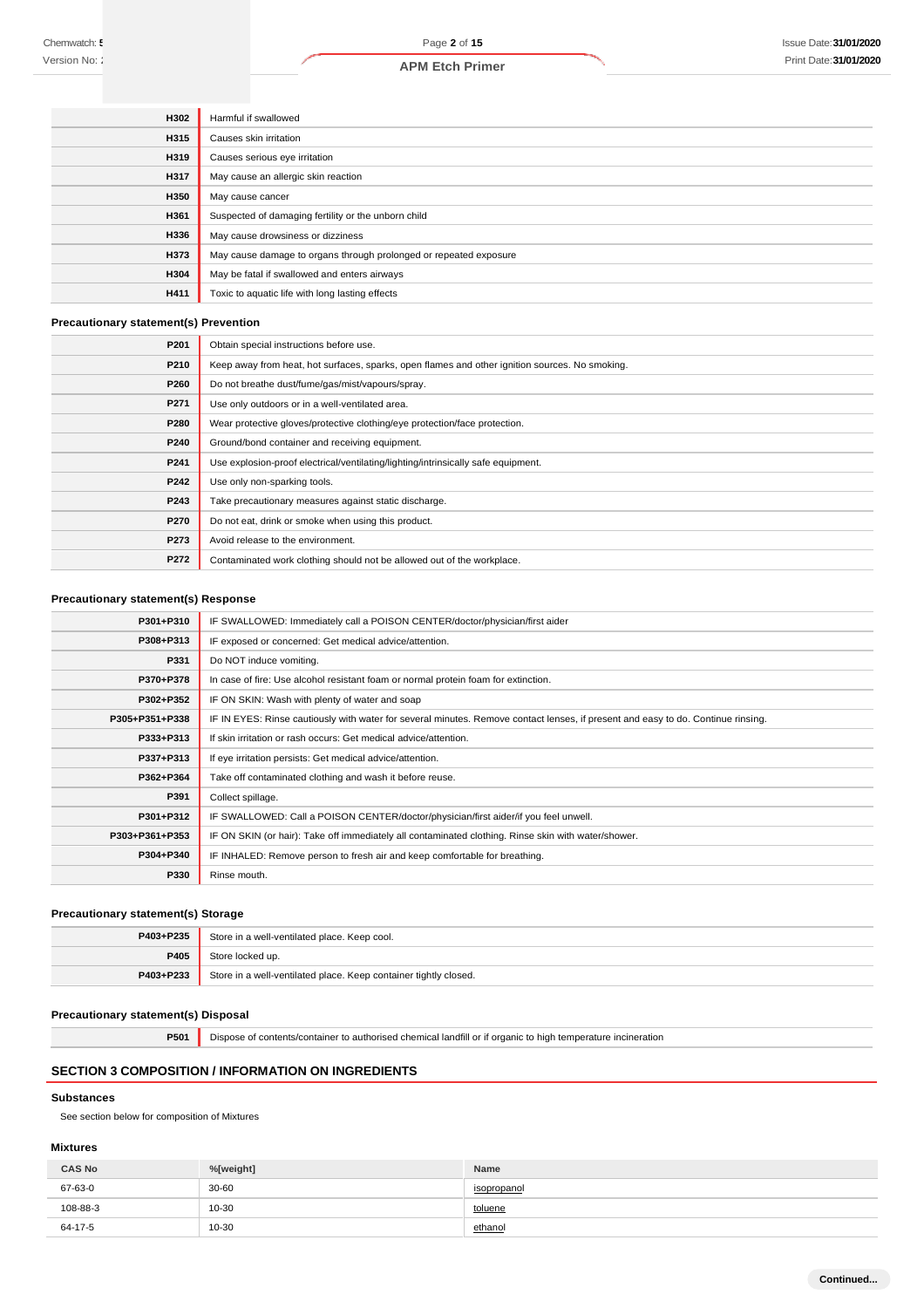| <b>H302</b> | Harmful if swallowed                                              |
|-------------|-------------------------------------------------------------------|
| <b>H315</b> | Causes skin irritation                                            |
| <b>H319</b> | Causes serious eye irritation                                     |
| H317        | May cause an allergic skin reaction                               |
| H350        | May cause cancer                                                  |
| H361        | Suspected of damaging fertility or the unborn child               |
| H336        | May cause drowsiness or dizziness                                 |
| H373        | May cause damage to organs through prolonged or repeated exposure |
| <b>H304</b> | May be fatal if swallowed and enters airways                      |
| <b>H411</b> | Toxic to aquatic life with long lasting effects                   |

## **Precautionary statement(s) Prevention**

| P201 | Obtain special instructions before use.                                                        |
|------|------------------------------------------------------------------------------------------------|
| P210 | Keep away from heat, hot surfaces, sparks, open flames and other ignition sources. No smoking. |
| P260 | Do not breathe dust/fume/gas/mist/vapours/spray.                                               |
| P271 | Use only outdoors or in a well-ventilated area.                                                |
| P280 | Wear protective gloves/protective clothing/eye protection/face protection.                     |
| P240 | Ground/bond container and receiving equipment.                                                 |
| P241 | Use explosion-proof electrical/ventilating/lighting/intrinsically safe equipment.              |
| P242 | Use only non-sparking tools.                                                                   |
| P243 | Take precautionary measures against static discharge.                                          |
| P270 | Do not eat, drink or smoke when using this product.                                            |
| P273 | Avoid release to the environment.                                                              |
| P272 | Contaminated work clothing should not be allowed out of the workplace.                         |

## **Precautionary statement(s) Response**

| P301+P310      | IF SWALLOWED: Immediately call a POISON CENTER/doctor/physician/first aider                                                      |
|----------------|----------------------------------------------------------------------------------------------------------------------------------|
| P308+P313      | IF exposed or concerned: Get medical advice/attention.                                                                           |
| P331           | Do NOT induce vomiting.                                                                                                          |
| P370+P378      | In case of fire: Use alcohol resistant foam or normal protein foam for extinction.                                               |
| P302+P352      | IF ON SKIN: Wash with plenty of water and soap                                                                                   |
| P305+P351+P338 | IF IN EYES: Rinse cautiously with water for several minutes. Remove contact lenses, if present and easy to do. Continue rinsing. |
| P333+P313      | If skin irritation or rash occurs: Get medical advice/attention.                                                                 |
| P337+P313      | If eye irritation persists: Get medical advice/attention.                                                                        |
| P362+P364      | Take off contaminated clothing and wash it before reuse.                                                                         |
| P391           | Collect spillage.                                                                                                                |
| P301+P312      | IF SWALLOWED: Call a POISON CENTER/doctor/physician/first aider/if you feel unwell.                                              |
| P303+P361+P353 | IF ON SKIN (or hair): Take off immediately all contaminated clothing. Rinse skin with water/shower.                              |
| P304+P340      | IF INHALED: Remove person to fresh air and keep comfortable for breathing.                                                       |
| P330           | Rinse mouth.                                                                                                                     |

#### **Precautionary statement(s) Storage**

| P403+P235 | Store in a well-ventilated place. Keep cool.                     |
|-----------|------------------------------------------------------------------|
| P405      | Store locked up.                                                 |
| P403+P233 | Store in a well-ventilated place. Keep container tightly closed. |

#### **Precautionary statement(s) Disposal**

**P501** Dispose of contents/container to authorised chemical landfill or if organic to high temperature incineration

## **SECTION 3 COMPOSITION / INFORMATION ON INGREDIENTS**

#### **Substances**

See section below for composition of Mixtures

## **Mixtures**

| <b>CAS No</b> | %[weight] | <b>Name</b> |
|---------------|-----------|-------------|
| 67-63-0       | $30 - 60$ | isopropanol |
| 108-88-3      | 10-30     | toluene     |
| 64-17-5       | 10-30     | ethanol     |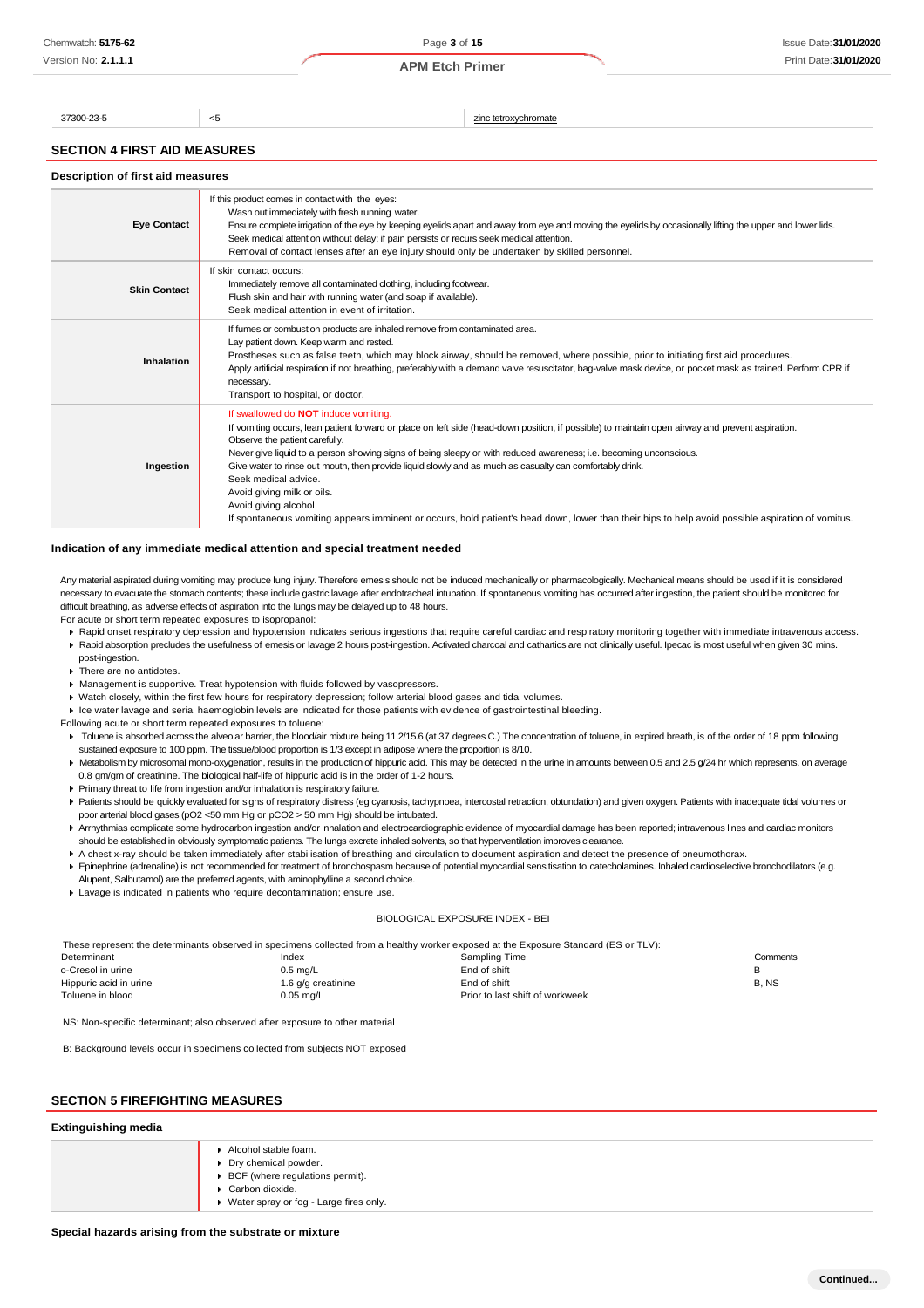Page **3** of **15 APM Etch Primer**

37300-23-5 <5 zinc tetroxychromate

# **SECTION 4 FIRST AID MEASURES**

| Description of first aid measures |  |  |  |
|-----------------------------------|--|--|--|
|-----------------------------------|--|--|--|

| <b>Eye Contact</b>  | If this product comes in contact with the eyes:<br>Wash out immediately with fresh running water.<br>Ensure complete irrigation of the eye by keeping eyelids apart and away from eye and moving the eyelids by occasionally lifting the upper and lower lids.<br>Seek medical attention without delay; if pain persists or recurs seek medical attention.<br>Removal of contact lenses after an eye injury should only be undertaken by skilled personnel.                                                                                                                                                                                                                                     |  |  |
|---------------------|-------------------------------------------------------------------------------------------------------------------------------------------------------------------------------------------------------------------------------------------------------------------------------------------------------------------------------------------------------------------------------------------------------------------------------------------------------------------------------------------------------------------------------------------------------------------------------------------------------------------------------------------------------------------------------------------------|--|--|
| <b>Skin Contact</b> | If skin contact occurs:<br>Immediately remove all contaminated clothing, including footwear.<br>Flush skin and hair with running water (and soap if available).<br>Seek medical attention in event of irritation.                                                                                                                                                                                                                                                                                                                                                                                                                                                                               |  |  |
| Inhalation          | If fumes or combustion products are inhaled remove from contaminated area.<br>Lay patient down. Keep warm and rested.<br>Prostheses such as false teeth, which may block airway, should be removed, where possible, prior to initiating first aid procedures.<br>Apply artificial respiration if not breathing, preferably with a demand valve resuscitator, bag-valve mask device, or pocket mask as trained. Perform CPR if<br>necessary.<br>Transport to hospital, or doctor.                                                                                                                                                                                                                |  |  |
| Ingestion           | If swallowed do NOT induce vomiting.<br>If vomiting occurs, lean patient forward or place on left side (head-down position, if possible) to maintain open airway and prevent aspiration.<br>Observe the patient carefully.<br>Never give liquid to a person showing signs of being sleepy or with reduced awareness; i.e. becoming unconscious.<br>Give water to rinse out mouth, then provide liquid slowly and as much as casualty can comfortably drink.<br>Seek medical advice.<br>Avoid giving milk or oils.<br>Avoid giving alcohol.<br>If spontaneous vomiting appears imminent or occurs, hold patient's head down, lower than their hips to help avoid possible aspiration of vomitus. |  |  |

#### **Indication of any immediate medical attention and special treatment needed**

Any material aspirated during vomiting may produce lung injury. Therefore emesis should not be induced mechanically or pharmacologically. Mechanical means should be used if it is considered necessary to evacuate the stomach contents; these include gastric lavage after endotracheal intubation. If spontaneous vomiting has occurred after ingestion, the patient should be monitored for difficult breathing, as adverse effects of aspiration into the lungs may be delayed up to 48 hours.

For acute or short term repeated exposures to isopropanol:

- ▶ Rapid onset respiratory depression and hypotension indicates serious ingestions that require careful cardiac and respiratory monitoring together with immediate intravenous access. ▶ Rapid absorption precludes the usefulness of emesis or lavage 2 hours post-ingestion. Activated charcoal and cathartics are not clinically useful. Ipecac is most useful when given 30 mins.
- post-ingestion. **F** There are no antidotes
- 
- Management is supportive. Treat hypotension with fluids followed by vasopressors.
- Watch closely, within the first few hours for respiratory depression; follow arterial blood gases and tidal volumes.
- Ice water lavage and serial haemoglobin levels are indicated for those patients with evidence of gastrointestinal bleeding.
- Following acute or short term repeated exposures to toluene: > Toluene is absorbed across the alveolar barrier, the blood/air mixture being 11.2/15.6 (at 37 degrees C.) The concentration of toluene, in expired breath, is of the order of 18 ppm following
	- sustained exposure to 100 ppm. The tissue/blood proportion is 1/3 except in adipose where the proportion is 8/10.
- ▶ Metabolism by microsomal mono-oxygenation, results in the production of hippuric acid. This may be detected in the urine in amounts between 0.5 and 2.5 g/24 hr which represents, on average 0.8 gm/gm of creatinine. The biological half-life of hippuric acid is in the order of 1-2 hours.
- Primary threat to life from ingestion and/or inhalation is respiratory failure.
- Patients should be quickly evaluated for signs of respiratory distress (eg cyanosis, tachypnoea, intercostal retraction, obtundation) and given oxygen. Patients with inadequate tidal volumes or poor arterial blood gases (pO2 <50 mm Hg or pCO2 > 50 mm Hg) should be intubated.
- Arrhythmias complicate some hydrocarbon ingestion and/or inhalation and electrocardiographic evidence of myocardial damage has been reported; intravenous lines and cardiac monitors should be established in obviously symptomatic patients. The lungs excrete inhaled solvents, so that hyperventilation improves clearance.
- A chest x-ray should be taken immediately after stabilisation of breathing and circulation to document aspiration and detect the presence of pneumothorax.
- Epinephrine (adrenaline) is not recommended for treatment of bronchospasm because of potential myocardial sensitisation to catecholamines. Inhaled cardioselective bronchodilators (e.g. Alupent, Salbutamol) are the preferred agents, with aminophylline a second choice.
- Lavage is indicated in patients who require decontamination; ensure use.

#### BIOLOGICAL EXPOSURE INDEX - BEI

These represent the determinants observed in specimens collected from a healthy worker exposed at the Exposure Standard (ES or TLV):

| Determinant            | Index              | Sampling Time                   | Comments |
|------------------------|--------------------|---------------------------------|----------|
| o-Cresol in urine      | $0.5 \text{ mq/L}$ | End of shift                    |          |
| Hippuric acid in urine | 1.6 g/g creatinine | End of shift                    | B, NS    |
| Toluene in blood       | $0.05$ mg/L        | Prior to last shift of workweek |          |
|                        |                    |                                 |          |

NS: Non-specific determinant; also observed after exposure to other material

B: Background levels occur in specimens collected from subjects NOT exposed

## **SECTION 5 FIREFIGHTING MEASURES**

## **Extinguishing media**

| Alcohol stable foam.<br>▶ Dry chemical powder.<br>▶ BCF (where regulations permit).<br>Carbon dioxide.<br>▶ Water spray or fog - Large fires only. |  |
|----------------------------------------------------------------------------------------------------------------------------------------------------|--|
|----------------------------------------------------------------------------------------------------------------------------------------------------|--|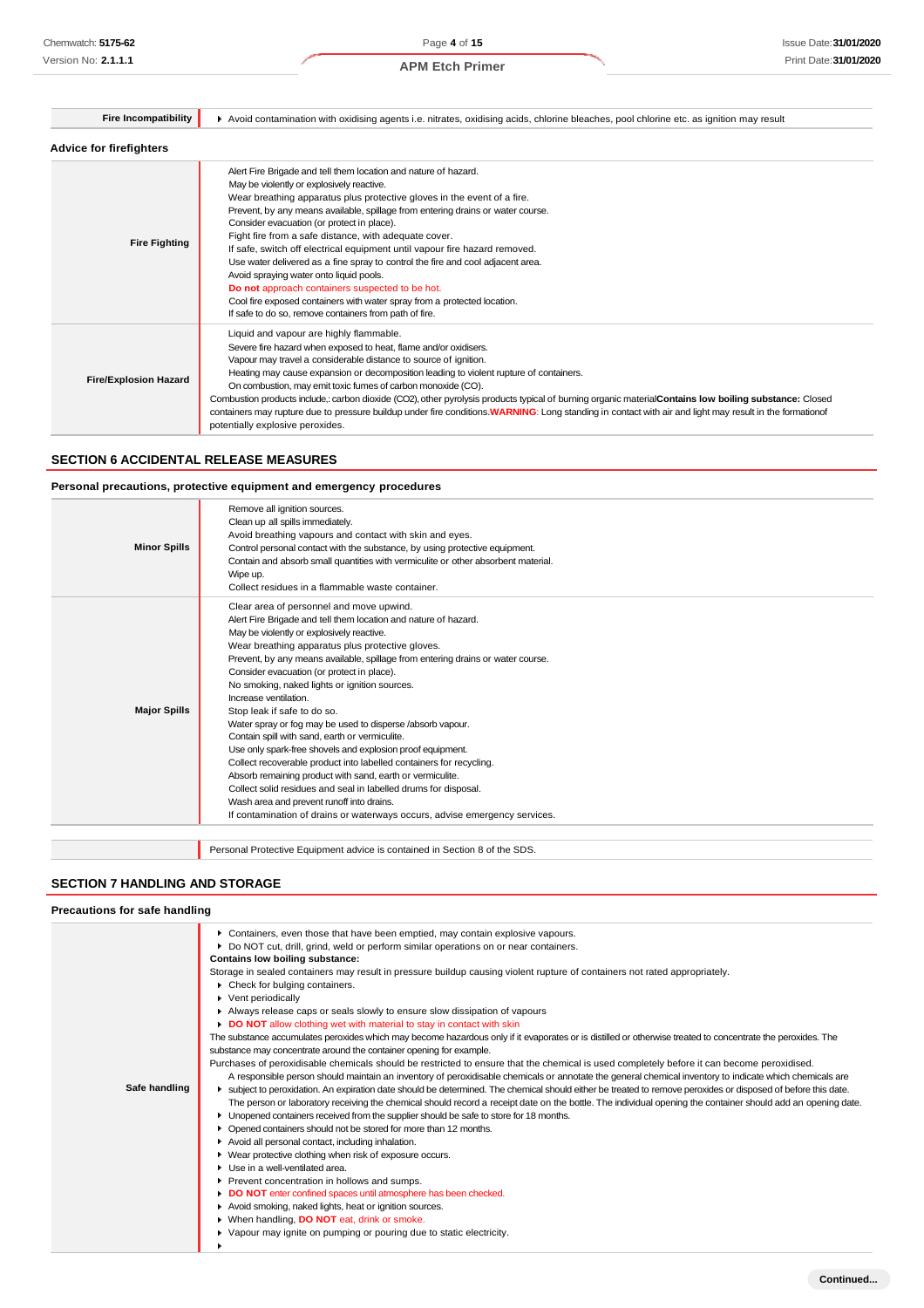| <b>Fire Incompatibility</b>    | Avoid contamination with oxidising agents i.e. nitrates, oxidising acids, chlorine bleaches, pool chlorine etc. as ignition may result                                                                                                                                                                                                                                                                                                                                                                                                                                                                                                                                                                                                                                                 |  |  |
|--------------------------------|----------------------------------------------------------------------------------------------------------------------------------------------------------------------------------------------------------------------------------------------------------------------------------------------------------------------------------------------------------------------------------------------------------------------------------------------------------------------------------------------------------------------------------------------------------------------------------------------------------------------------------------------------------------------------------------------------------------------------------------------------------------------------------------|--|--|
| <b>Advice for firefighters</b> |                                                                                                                                                                                                                                                                                                                                                                                                                                                                                                                                                                                                                                                                                                                                                                                        |  |  |
| <b>Fire Fighting</b>           | Alert Fire Brigade and tell them location and nature of hazard.<br>May be violently or explosively reactive.<br>Wear breathing apparatus plus protective gloves in the event of a fire.<br>Prevent, by any means available, spillage from entering drains or water course.<br>Consider evacuation (or protect in place).<br>Fight fire from a safe distance, with adequate cover.<br>If safe, switch off electrical equipment until vapour fire hazard removed.<br>Use water delivered as a fine spray to control the fire and cool adjacent area.<br>Avoid spraying water onto liquid pools.<br>Do not approach containers suspected to be hot.<br>Cool fire exposed containers with water spray from a protected location.<br>If safe to do so, remove containers from path of fire. |  |  |
| <b>Fire/Explosion Hazard</b>   | Liquid and vapour are highly flammable.<br>Severe fire hazard when exposed to heat, flame and/or oxidisers.<br>Vapour may travel a considerable distance to source of ignition.<br>Heating may cause expansion or decomposition leading to violent rupture of containers.<br>On combustion, may emit toxic fumes of carbon monoxide (CO).<br>Combustion products include,: carbon dioxide (CO2), other pyrolysis products typical of burning organic material Contains low boiling substance: Closed<br>containers may rupture due to pressure buildup under fire conditions. WARNING: Long standing in contact with air and light may result in the formationof<br>potentially explosive peroxides.                                                                                   |  |  |

#### **SECTION 6 ACCIDENTAL RELEASE MEASURES**

## **Personal precautions, protective equipment and emergency procedures**

| <b>Minor Spills</b> | Remove all ignition sources.<br>Clean up all spills immediately.<br>Avoid breathing vapours and contact with skin and eyes.<br>Control personal contact with the substance, by using protective equipment.<br>Contain and absorb small quantities with vermiculite or other absorbent material.<br>Wipe up.<br>Collect residues in a flammable waste container.                                                                                                                                                                                                                                                                                                                                                                                                                                                                                                                                                                                                        |
|---------------------|------------------------------------------------------------------------------------------------------------------------------------------------------------------------------------------------------------------------------------------------------------------------------------------------------------------------------------------------------------------------------------------------------------------------------------------------------------------------------------------------------------------------------------------------------------------------------------------------------------------------------------------------------------------------------------------------------------------------------------------------------------------------------------------------------------------------------------------------------------------------------------------------------------------------------------------------------------------------|
| <b>Major Spills</b> | Clear area of personnel and move upwind.<br>Alert Fire Brigade and tell them location and nature of hazard.<br>May be violently or explosively reactive.<br>Wear breathing apparatus plus protective gloves.<br>Prevent, by any means available, spillage from entering drains or water course.<br>Consider evacuation (or protect in place).<br>No smoking, naked lights or ignition sources.<br>Increase ventilation.<br>Stop leak if safe to do so.<br>Water spray or fog may be used to disperse /absorb vapour.<br>Contain spill with sand, earth or vermiculite.<br>Use only spark-free shovels and explosion proof equipment.<br>Collect recoverable product into labelled containers for recycling.<br>Absorb remaining product with sand, earth or vermiculite.<br>Collect solid residues and seal in labelled drums for disposal.<br>Wash area and prevent runoff into drains.<br>If contamination of drains or waterways occurs, advise emergency services. |
|                     |                                                                                                                                                                                                                                                                                                                                                                                                                                                                                                                                                                                                                                                                                                                                                                                                                                                                                                                                                                        |

Personal Protective Equipment advice is contained in Section 8 of the SDS.

## **SECTION 7 HANDLING AND STORAGE**

| Precautions for safe handling |  |  |  |
|-------------------------------|--|--|--|
|-------------------------------|--|--|--|

|               | ▶ Containers, even those that have been emptied, may contain explosive vapours.                                                                                 |
|---------------|-----------------------------------------------------------------------------------------------------------------------------------------------------------------|
|               | ▶ Do NOT cut, drill, grind, weld or perform similar operations on or near containers.                                                                           |
|               | Contains low boiling substance:                                                                                                                                 |
|               | Storage in sealed containers may result in pressure buildup causing violent rupture of containers not rated appropriately.                                      |
|               | ▶ Check for bulging containers.                                                                                                                                 |
|               | ▶ Vent periodically                                                                                                                                             |
|               | Always release caps or seals slowly to ensure slow dissipation of vapours                                                                                       |
|               | DO NOT allow clothing wet with material to stay in contact with skin                                                                                            |
|               | The substance accumulates peroxides which may become hazardous only if it evaporates or is distilled or otherwise treated to concentrate the peroxides. The     |
|               | substance may concentrate around the container opening for example.                                                                                             |
|               | Purchases of peroxidisable chemicals should be restricted to ensure that the chemical is used completely before it can become peroxidised.                      |
|               | A responsible person should maintain an inventory of peroxidisable chemicals or annotate the general chemical inventory to indicate which chemicals are         |
| Safe handling | In subject to peroxidation. An expiration date should be determined. The chemical should either be treated to remove peroxides or disposed of before this date. |
|               | The person or laboratory receiving the chemical should record a receipt date on the bottle. The individual opening the container should add an opening date.    |
|               | Unopened containers received from the supplier should be safe to store for 18 months.                                                                           |
|               | Opened containers should not be stored for more than 12 months.<br>٠                                                                                            |
|               | Avoid all personal contact, including inhalation.                                                                                                               |
|               | ▶ Wear protective clothing when risk of exposure occurs.                                                                                                        |
|               | Use in a well-ventilated area.                                                                                                                                  |
|               | Prevent concentration in hollows and sumps.                                                                                                                     |
|               | DO NOT enter confined spaces until atmosphere has been checked.                                                                                                 |
|               | Avoid smoking, naked lights, heat or ignition sources.                                                                                                          |
|               | ▶ When handling, DO NOT eat, drink or smoke.                                                                                                                    |
|               | ▶ Vapour may ignite on pumping or pouring due to static electricity.                                                                                            |
|               |                                                                                                                                                                 |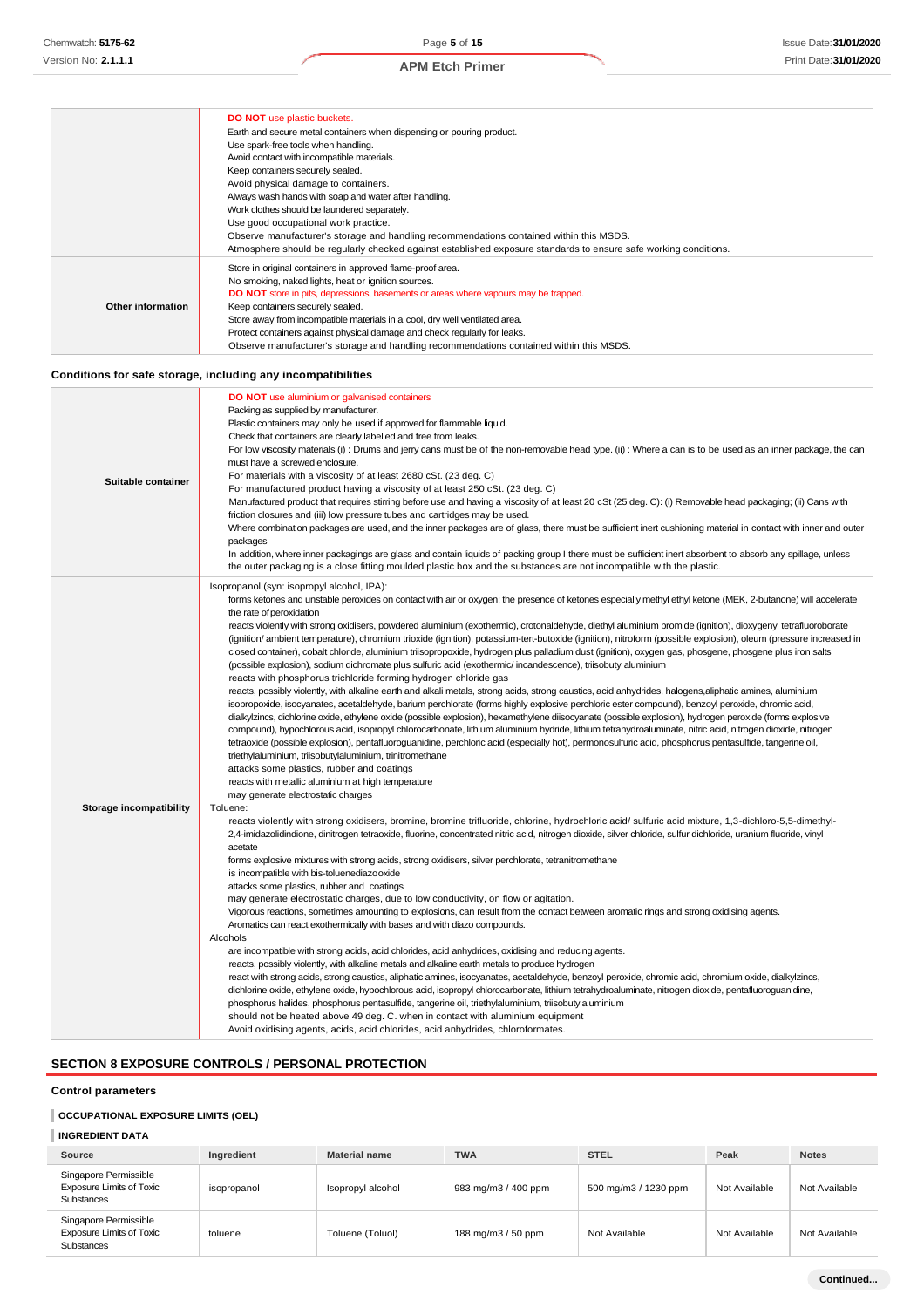#### **DO NOT** use plastic buckets. Earth and secure metal containers when dispensing or pouring product. Use spark-free tools when handling. Avoid contact with incompatible materials. Keep containers securely sealed. Avoid physical damage to containers. Always wash hands with soap and water after handling. Work clothes should be laundered separately. Use good occupational work practice. Observe manufacturer's storage and handling recommendations contained within this MSDS. Atmosphere should be regularly checked against established exposure standards to ensure safe working conditions. **Other information** Store in original containers in approved flame-proof area. No smoking, naked lights, heat or ignition sources. **DO NOT** store in pits, depressions, basements or areas where vapours may be trapped. Keep containers securely sealed. Store away from incompatible materials in a cool, dry well ventilated area. Protect containers against physical damage and check regularly for leaks. Observe manufacturer's storage and handling recommendations contained within this MSDS. **Conditions for safe storage, including any incompatibilities Suitable container DO NOT** use aluminium or galvanised containers Packing as supplied by manufacturer. Plastic containers may only be used if approved for flammable liquid. Check that containers are clearly labelled and free from leaks. For low viscosity materials (i) : Drums and jerry cans must be of the non-removable head type. (ii) : Where a can is to be used as an inner package, the can must have a screwed enclosure. For materials with a viscosity of at least 2680 cSt. (23 deg. C) For manufactured product having a viscosity of at least 250 cSt. (23 deg. C) Manufactured product that requires stirring before use and having a viscosity of at least 20 cSt (25 deg. C): (i) Removable head packaging; (ii) Cans with friction closures and (iii) low pressure tubes and cartridges may be used. Where combination packages are used, and the inner packages are of glass, there must be sufficient inert cushioning material in contact with inner and outer packages In addition, where inner packagings are glass and contain liquids of packing group I there must be sufficient inert absorbent to absorb any spillage, unless the outer packaging is a close fitting moulded plastic box and the substances are not incompatible with the plastic. **Storage incompatibility** Isopropanol (syn: isopropyl alcohol, IPA): forms ketones and unstable peroxides on contact with air or oxygen; the presence of ketones especially methyl ethyl ketone (MEK, 2-butanone) will accelerate the rate of peroxidation reacts violently with strong oxidisers, powdered aluminium (exothermic), crotonaldehyde, diethyl aluminium bromide (ignition), dioxygenyl tetrafluoroborate (ignition/ ambient temperature), chromium trioxide (ignition), potassium-tert-butoxide (ignition), nitroform (possible explosion), oleum (pressure increased in closed container), cobalt chloride, aluminium triisopropoxide, hydrogen plus palladium dust (ignition), oxygen gas, phosgene, phosgene plus iron salts (possible explosion), sodium dichromate plus sulfuric acid (exothermic/ incandescence), triisobutylaluminium reacts with phosphorus trichloride forming hydrogen chloride gas reacts, possibly violently, with alkaline earth and alkali metals, strong acids, strong caustics, acid anhydrides, halogens, aliphatic amines, aluminium isopropoxide, isocyanates, acetaldehyde, barium perchlorate (forms highly explosive perchloric ester compound), benzoyl peroxide, chromic acid, dialkylzincs, dichlorine oxide, ethylene oxide (possible explosion), hexamethylene diisocyanate (possible explosion), hydrogen peroxide (forms explosive compound), hypochlorous acid, isopropyl chlorocarbonate, lithium aluminium hydride, lithium tetrahydroaluminate, nitric acid, nitrogen dioxide, nitrogen tetraoxide (possible explosion), pentafluoroguanidine, perchloric acid (especially hot), permonosulfuric acid, phosphorus pentasulfide, tangerine oil, triethylaluminium, triisobutylaluminium, trinitromethane attacks some plastics, rubber and coatings reacts with metallic aluminium at high temperature may generate electrostatic charges Toluene: reacts violently with strong oxidisers, bromine, bromine trifluoride, chlorine, hydrochloric acid/ sulfuric acid mixture, 1,3-dichloro-5,5-dimethyl-2,4-imidazolidindione, dinitrogen tetraoxide, fluorine, concentrated nitric acid, nitrogen dioxide, silver chloride, sulfur dichloride, uranium fluoride, vinyl acetate forms explosive mixtures with strong acids, strong oxidisers, silver perchlorate, tetranitromethane is incompatible with bis-toluenediazooxide attacks some plastics, rubber and coatings may generate electrostatic charges, due to low conductivity, on flow or agitation. Vigorous reactions, sometimes amounting to explosions, can result from the contact between aromatic rings and strong oxidising agents. Aromatics can react exothermically with bases and with diazo compounds. Alcohols are incompatible with strong acids, acid chlorides, acid anhydrides, oxidising and reducing agents. reacts, possibly violently, with alkaline metals and alkaline earth metals to produce hydrogen react with strong acids, strong caustics, aliphatic amines, isocyanates, acetaldehyde, benzoyl peroxide, chromic acid, chromium oxide, dialkylzincs, dichlorine oxide, ethylene oxide, hypochlorous acid, isopropyl chlorocarbonate, lithium tetrahydroaluminate, nitrogen dioxide, pentafluoroguanidine, phosphorus halides, phosphorus pentasulfide, tangerine oil, triethylaluminium, triisobutylaluminium should not be heated above 49 deg. C. when in contact with aluminium equipment Avoid oxidising agents, acids, acid chlorides, acid anhydrides, chloroformates.

#### **SECTION 8 EXPOSURE CONTROLS / PERSONAL PROTECTION**

#### **Control parameters**

#### **OCCUPATIONAL EXPOSURE LIMITS (OEL)**

#### **INGREDIENT DATA Source Ingredient Material name TWA STEL Peak Notes** Singapore Permissible Exposure Limits of Toxic **Substances** isopropanol Isopropyl alcohol 983 mg/m3 / 400 ppm 500 mg/m3 / 1230 ppm Not Available Not Available Singapore Permissible Exposure Limits of Toxic Substances toluene Toluene (Toluol) 188 mg/m3 / 50 ppm Not Available Not Available Not Available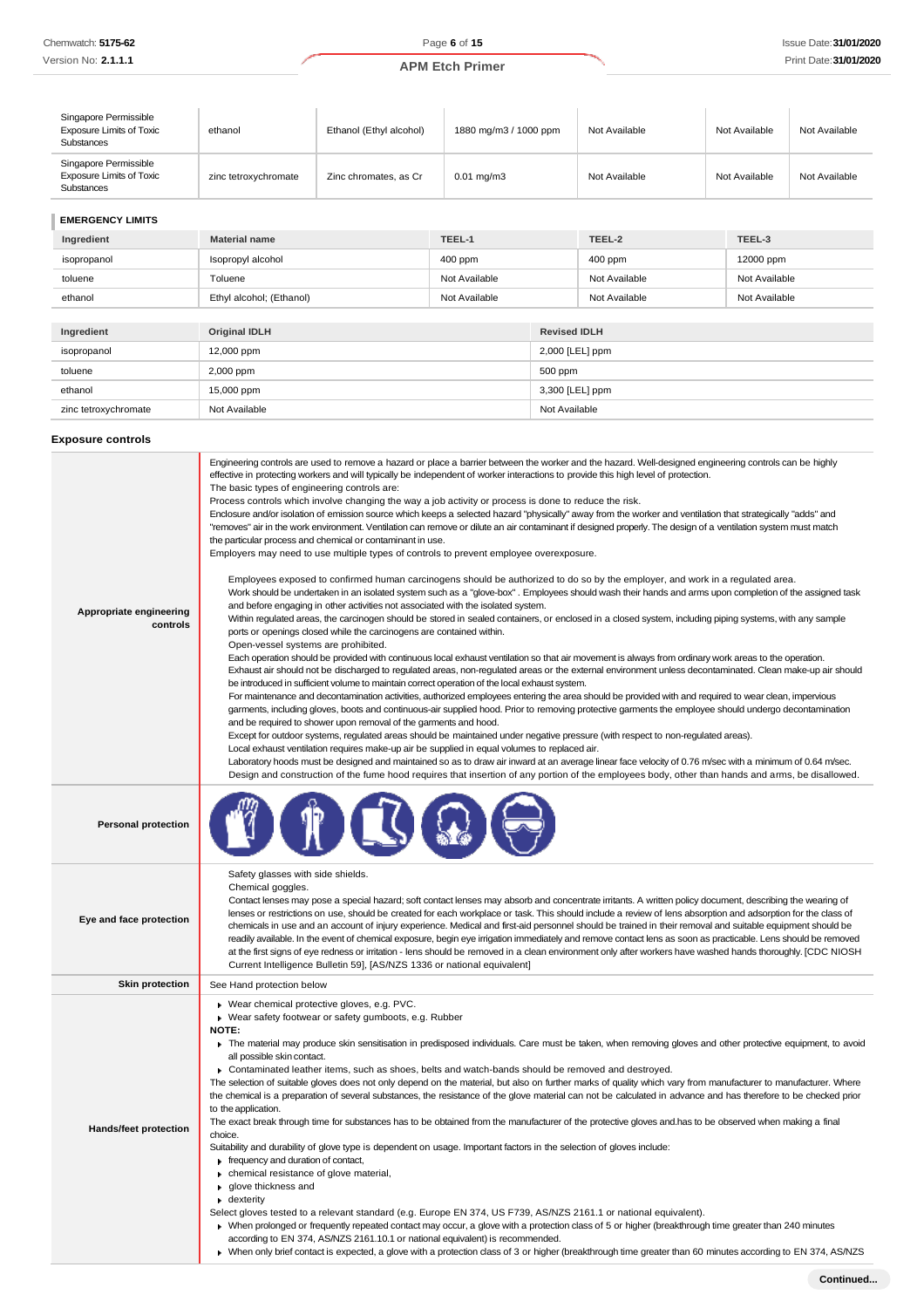| Singapore Permissible<br><b>Exposure Limits of Toxic</b><br><b>Substances</b> | ethanol              | Ethanol (Ethyl alcohol) | 1880 mg/m3 / 1000 ppm | Not Available | Not Available | Not Available |
|-------------------------------------------------------------------------------|----------------------|-------------------------|-----------------------|---------------|---------------|---------------|
| Singapore Permissible<br><b>Exposure Limits of Toxic</b><br>Substances        | zinc tetroxychromate | Zinc chromates, as Cr   | $0.01 \text{ mg/m}$ 3 | Not Available | Not Available | Not Available |
|                                                                               |                      |                         |                       |               |               |               |

**EMERGENCY LIMITS**

| Ingredient           | <b>Material name</b>     | TEEL-1        |                 | TEEL-2              | TEEL-3        |  |
|----------------------|--------------------------|---------------|-----------------|---------------------|---------------|--|
| isopropanol          | Isopropyl alcohol        | 400 ppm       |                 | $400$ ppm           | 12000 ppm     |  |
| toluene              | Toluene                  | Not Available |                 | Not Available       | Not Available |  |
| ethanol              | Ethyl alcohol; (Ethanol) | Not Available |                 | Not Available       | Not Available |  |
|                      |                          |               |                 |                     |               |  |
| Ingredient           | <b>Original IDLH</b>     |               |                 | <b>Revised IDLH</b> |               |  |
| isopropanol          | 12,000 ppm               |               |                 | 2,000 [LEL] ppm     |               |  |
| toluene              | 2,000 ppm                |               | 500 ppm         |                     |               |  |
| ethanol              | 15,000 ppm               |               | 3,300 [LEL] ppm |                     |               |  |
| zinc tetroxychromate | Not Available            |               | Not Available   |                     |               |  |

## **Exposure controls**

| Appropriate engineering<br>controls | Engineering controls are used to remove a hazard or place a barrier between the worker and the hazard. Well-designed engineering controls can be highly<br>effective in protecting workers and will typically be independent of worker interactions to provide this high level of protection.<br>The basic types of engineering controls are:<br>Process controls which involve changing the way a job activity or process is done to reduce the risk.<br>Enclosure and/or isolation of emission source which keeps a selected hazard "physically" away from the worker and ventilation that strategically "adds" and<br>"removes" air in the work environment. Ventilation can remove or dilute an air contaminant if designed properly. The design of a ventilation system must match<br>the particular process and chemical or contaminant in use.<br>Employers may need to use multiple types of controls to prevent employee overexposure.<br>Employees exposed to confirmed human carcinogens should be authorized to do so by the employer, and work in a regulated area.<br>Work should be undertaken in an isolated system such as a "glove-box". Employees should wash their hands and arms upon completion of the assigned task<br>and before engaging in other activities not associated with the isolated system.<br>Within regulated areas, the carcinogen should be stored in sealed containers, or enclosed in a closed system, including piping systems, with any sample<br>ports or openings closed while the carcinogens are contained within.<br>Open-vessel systems are prohibited.<br>Each operation should be provided with continuous local exhaust ventilation so that air movement is always from ordinary work areas to the operation.<br>Exhaust air should not be discharged to regulated areas, non-regulated areas or the external environment unless decontaminated. Clean make-up air should<br>be introduced in sufficient volume to maintain correct operation of the local exhaust system.<br>For maintenance and decontamination activities, authorized employees entering the area should be provided with and required to wear clean, impervious<br>garments, including gloves, boots and continuous-air supplied hood. Prior to removing protective garments the employee should undergo decontamination<br>and be required to shower upon removal of the garments and hood.<br>Except for outdoor systems, regulated areas should be maintained under negative pressure (with respect to non-regulated areas).<br>Local exhaust ventilation requires make-up air be supplied in equal volumes to replaced air.<br>Laboratory hoods must be designed and maintained so as to draw air inward at an average linear face velocity of 0.76 m/sec with a minimum of 0.64 m/sec.<br>Design and construction of the fume hood requires that insertion of any portion of the employees body, other than hands and arms, be disallowed. |
|-------------------------------------|-------------------------------------------------------------------------------------------------------------------------------------------------------------------------------------------------------------------------------------------------------------------------------------------------------------------------------------------------------------------------------------------------------------------------------------------------------------------------------------------------------------------------------------------------------------------------------------------------------------------------------------------------------------------------------------------------------------------------------------------------------------------------------------------------------------------------------------------------------------------------------------------------------------------------------------------------------------------------------------------------------------------------------------------------------------------------------------------------------------------------------------------------------------------------------------------------------------------------------------------------------------------------------------------------------------------------------------------------------------------------------------------------------------------------------------------------------------------------------------------------------------------------------------------------------------------------------------------------------------------------------------------------------------------------------------------------------------------------------------------------------------------------------------------------------------------------------------------------------------------------------------------------------------------------------------------------------------------------------------------------------------------------------------------------------------------------------------------------------------------------------------------------------------------------------------------------------------------------------------------------------------------------------------------------------------------------------------------------------------------------------------------------------------------------------------------------------------------------------------------------------------------------------------------------------------------------------------------------------------------------------------------------------------------------------------------------------------------------------------------------------------------------------------------------------------------------------------------------------------------------------------------------------------------------------------------------------------------------|
| <b>Personal protection</b>          |                                                                                                                                                                                                                                                                                                                                                                                                                                                                                                                                                                                                                                                                                                                                                                                                                                                                                                                                                                                                                                                                                                                                                                                                                                                                                                                                                                                                                                                                                                                                                                                                                                                                                                                                                                                                                                                                                                                                                                                                                                                                                                                                                                                                                                                                                                                                                                                                                                                                                                                                                                                                                                                                                                                                                                                                                                                                                                                                                                         |
| Eye and face protection             | Safety glasses with side shields.<br>Chemical goggles.<br>Contact lenses may pose a special hazard; soft contact lenses may absorb and concentrate irritants. A written policy document, describing the wearing of<br>lenses or restrictions on use, should be created for each workplace or task. This should include a review of lens absorption and adsorption for the class of<br>chemicals in use and an account of injury experience. Medical and first-aid personnel should be trained in their removal and suitable equipment should be<br>readily available. In the event of chemical exposure, begin eye irrigation immediately and remove contact lens as soon as practicable. Lens should be removed<br>at the first signs of eye redness or irritation - lens should be removed in a clean environment only after workers have washed hands thoroughly. [CDC NIOSH<br>Current Intelligence Bulletin 59], [AS/NZS 1336 or national equivalent]                                                                                                                                                                                                                                                                                                                                                                                                                                                                                                                                                                                                                                                                                                                                                                                                                                                                                                                                                                                                                                                                                                                                                                                                                                                                                                                                                                                                                                                                                                                                                                                                                                                                                                                                                                                                                                                                                                                                                                                                              |
| <b>Skin protection</b>              | See Hand protection below                                                                                                                                                                                                                                                                                                                                                                                                                                                                                                                                                                                                                                                                                                                                                                                                                                                                                                                                                                                                                                                                                                                                                                                                                                                                                                                                                                                                                                                                                                                                                                                                                                                                                                                                                                                                                                                                                                                                                                                                                                                                                                                                                                                                                                                                                                                                                                                                                                                                                                                                                                                                                                                                                                                                                                                                                                                                                                                                               |
| <b>Hands/feet protection</b>        | Wear chemical protective gloves, e.g. PVC.<br>▶ Wear safety footwear or safety gumboots, e.g. Rubber<br>NOTE:<br>The material may produce skin sensitisation in predisposed individuals. Care must be taken, when removing gloves and other protective equipment, to avoid<br>all possible skin contact.<br>▶ Contaminated leather items, such as shoes, belts and watch-bands should be removed and destroyed.<br>The selection of suitable gloves does not only depend on the material, but also on further marks of quality which vary from manufacturer to manufacturer. Where<br>the chemical is a preparation of several substances, the resistance of the glove material can not be calculated in advance and has therefore to be checked prior<br>to the application.<br>The exact break through time for substances has to be obtained from the manufacturer of the protective gloves and has to be observed when making a final<br>choice.<br>Suitability and durability of glove type is dependent on usage. Important factors in the selection of gloves include:<br>Frequency and duration of contact,<br>chemical resistance of glove material,<br>glove thickness and<br>$\bullet$ dexterity<br>Select gloves tested to a relevant standard (e.g. Europe EN 374, US F739, AS/NZS 2161.1 or national equivalent).<br>> When prolonged or frequently repeated contact may occur, a glove with a protection class of 5 or higher (breakthrough time greater than 240 minutes<br>according to EN 374, AS/NZS 2161.10.1 or national equivalent) is recommended.<br>▶ When only brief contact is expected, a glove with a protection class of 3 or higher (breakthrough time greater than 60 minutes according to EN 374, AS/NZS                                                                                                                                                                                                                                                                                                                                                                                                                                                                                                                                                                                                                                                                                                                                                                                                                                                                                                                                                                                                                                                                                                                                                                                                                               |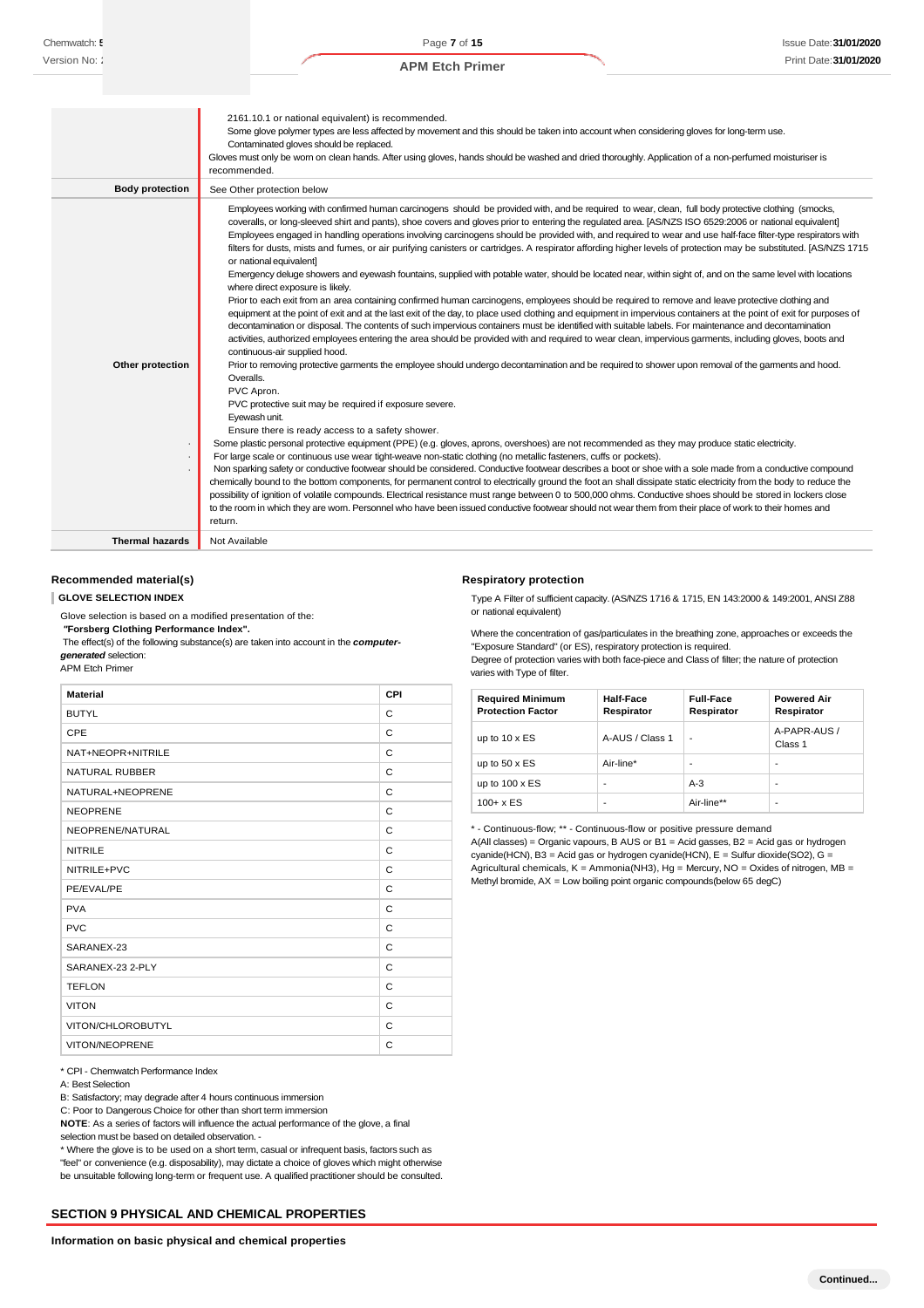|                                  | 2161.10.1 or national equivalent) is recommended.<br>Some glove polymer types are less affected by movement and this should be taken into account when considering gloves for long-term use.<br>Contaminated gloves should be replaced.<br>Gloves must only be wom on clean hands. After using gloves, hands should be washed and dried thoroughly. Application of a non-perfumed moisturiser is<br>recommended.                                                                                                                                                                                                                                                                                                                                                                                                                                                                                                                                                                                                                                                                                                                                                                                                                                                                                                                                                                                                                                                                                                                                                                                                                                                                                                                                                                                                                                                                                                                                                                                                                                                                                                                                                                                                                                                                                                                                                                                                                                                                                                                                                                                                                                                                                                                                                                                                              |
|----------------------------------|-------------------------------------------------------------------------------------------------------------------------------------------------------------------------------------------------------------------------------------------------------------------------------------------------------------------------------------------------------------------------------------------------------------------------------------------------------------------------------------------------------------------------------------------------------------------------------------------------------------------------------------------------------------------------------------------------------------------------------------------------------------------------------------------------------------------------------------------------------------------------------------------------------------------------------------------------------------------------------------------------------------------------------------------------------------------------------------------------------------------------------------------------------------------------------------------------------------------------------------------------------------------------------------------------------------------------------------------------------------------------------------------------------------------------------------------------------------------------------------------------------------------------------------------------------------------------------------------------------------------------------------------------------------------------------------------------------------------------------------------------------------------------------------------------------------------------------------------------------------------------------------------------------------------------------------------------------------------------------------------------------------------------------------------------------------------------------------------------------------------------------------------------------------------------------------------------------------------------------------------------------------------------------------------------------------------------------------------------------------------------------------------------------------------------------------------------------------------------------------------------------------------------------------------------------------------------------------------------------------------------------------------------------------------------------------------------------------------------------------------------------------------------------------------------------------------------------|
| <b>Body protection</b>           | See Other protection below                                                                                                                                                                                                                                                                                                                                                                                                                                                                                                                                                                                                                                                                                                                                                                                                                                                                                                                                                                                                                                                                                                                                                                                                                                                                                                                                                                                                                                                                                                                                                                                                                                                                                                                                                                                                                                                                                                                                                                                                                                                                                                                                                                                                                                                                                                                                                                                                                                                                                                                                                                                                                                                                                                                                                                                                    |
| Other protection<br>$\cdot$<br>٠ | Employees working with confirmed human carcinogens should be provided with, and be required to wear, clean, full body protective clothing (smocks,<br>coveralls, or long-sleeved shirt and pants), shoe covers and gloves prior to entering the regulated area. [AS/NZS ISO 6529:2006 or national equivalent]<br>Employees engaged in handling operations involving carcinogens should be provided with, and required to wear and use half-face filter-type respirators with<br>filters for dusts, mists and fumes, or air purifying canisters or cartridges. A respirator affording higher levels of protection may be substituted. [AS/NZS 1715<br>or national equivalent]<br>Emergency deluge showers and eyewash fountains, supplied with potable water, should be located near, within sight of, and on the same level with locations<br>where direct exposure is likely.<br>Prior to each exit from an area containing confirmed human carcinogens, employees should be required to remove and leave protective clothing and<br>equipment at the point of exit and at the last exit of the day, to place used clothing and equipment in impervious containers at the point of exit for purposes of<br>decontamination or disposal. The contents of such impervious containers must be identified with suitable labels. For maintenance and decontamination<br>activities, authorized employees entering the area should be provided with and required to wear clean, impervious garments, including gloves, boots and<br>continuous-air supplied hood.<br>Prior to removing protective garments the employee should undergo decontamination and be required to shower upon removal of the garments and hood.<br>Overalls.<br>PVC Apron.<br>PVC protective suit may be required if exposure severe.<br>Eyewash unit.<br>Ensure there is ready access to a safety shower.<br>Some plastic personal protective equipment (PPE) (e.g. gloves, aprons, overshoes) are not recommended as they may produce static electricity.<br>For large scale or continuous use wear tight-weave non-static clothing (no metallic fasteners, cuffs or pockets).<br>Non sparking safety or conductive footwear should be considered. Conductive footwear describes a boot or shoe with a sole made from a conductive compound<br>chemically bound to the bottom components, for permanent control to electrically ground the foot an shall dissipate static electricity from the body to reduce the<br>possibility of ignition of volatile compounds. Electrical resistance must range between 0 to 500,000 ohms. Conductive shoes should be stored in lockers close<br>to the room in which they are worn. Personnel who have been issued conductive footwear should not wear them from their place of work to their homes and<br>return. |
| <b>Thermal hazards</b>           | Not Available                                                                                                                                                                                                                                                                                                                                                                                                                                                                                                                                                                                                                                                                                                                                                                                                                                                                                                                                                                                                                                                                                                                                                                                                                                                                                                                                                                                                                                                                                                                                                                                                                                                                                                                                                                                                                                                                                                                                                                                                                                                                                                                                                                                                                                                                                                                                                                                                                                                                                                                                                                                                                                                                                                                                                                                                                 |

#### **Recommended material(s)**

**GLOVE SELECTION INDEX**

Glove selection is based on a modified presentation of the:

*"***Forsberg Clothing Performance Index".**

The effect(s) of the following substance(s) are taken into account in the *computergenerated* selection:

APM Etch Primer

| <b>Material</b>       | CPI |
|-----------------------|-----|
| <b>BUTYL</b>          | C   |
| CPE                   | C   |
| NAT+NEOPR+NITRILE     | C   |
| <b>NATURAL RUBBER</b> | C   |
| NATURAL+NEOPRENE      | C   |
| <b>NEOPRENE</b>       | C   |
| NEOPRENE/NATURAL      | C   |
| <b>NITRILE</b>        | C   |
| NITRILE+PVC           | C   |
| PE/EVAL/PE            | C   |
| <b>PVA</b>            | C   |
| <b>PVC</b>            | C   |
| SARANEX-23            | C   |
| SARANEX-23 2-PLY      | C   |
| <b>TEFLON</b>         | C   |
| <b>VITON</b>          | C   |
| VITON/CHLOROBUTYL     | C   |
| <b>VITON/NEOPRENE</b> | C   |

\* CPI - Chemwatch Performance Index

A: Best Selection

B: Satisfactory; may degrade after 4 hours continuous immersion

C: Poor to Dangerous Choice for other than short term immersion

**NOTE**: As a series of factors will influence the actual performance of the glove, a final selection must be based on detailed observation. -

\* Where the glove is to be used on a short term, casual or infrequent basis, factors such as "feel" or convenience (e.g. disposability), may dictate a choice of gloves which might otherwise be unsuitable following long-term or frequent use. A qualified practitioner should be consulted.

## **SECTION 9 PHYSICAL AND CHEMICAL PROPERTIES**

#### **Respiratory protection**

Type A Filter of sufficient capacity. (AS/NZS 1716 & 1715, EN 143:2000 & 149:2001, ANSI Z88 or national equivalent)

Where the concentration of gas/particulates in the breathing zone, approaches or exceeds the "Exposure Standard" (or ES), respiratory protection is required.

Degree of protection varies with both face-piece and Class of filter; the nature of protection varies with Type of filter.

| <b>Required Minimum</b><br><b>Protection Factor</b> | Half-Face<br>Respirator | <b>Full-Face</b><br>Respirator | <b>Powered Air</b><br>Respirator |
|-----------------------------------------------------|-------------------------|--------------------------------|----------------------------------|
| up to $10 \times ES$                                | A-AUS / Class 1         | -                              | A-PAPR-AUS /<br>Class 1          |
| up to $50 \times ES$                                | Air-line*               | $\overline{\phantom{a}}$       | -                                |
| up to $100 \times ES$                               | -                       | $A-3$                          | -                                |
| $100 + x ES$                                        | -                       | Air-line**                     | $\overline{\phantom{a}}$         |

\* - Continuous-flow; \*\* - Continuous-flow or positive pressure demand A(All classes) = Organic vapours, B AUS or B1 = Acid gasses, B2 = Acid gas or hydrogen cyanide(HCN), B3 = Acid gas or hydrogen cyanide(HCN), E = Sulfur dioxide(SO2), G = Agricultural chemicals,  $K =$  Ammonia(NH3), Hg = Mercury, NO = Oxides of nitrogen, MB = Methyl bromide, AX = Low boiling point organic compounds(below 65 degC)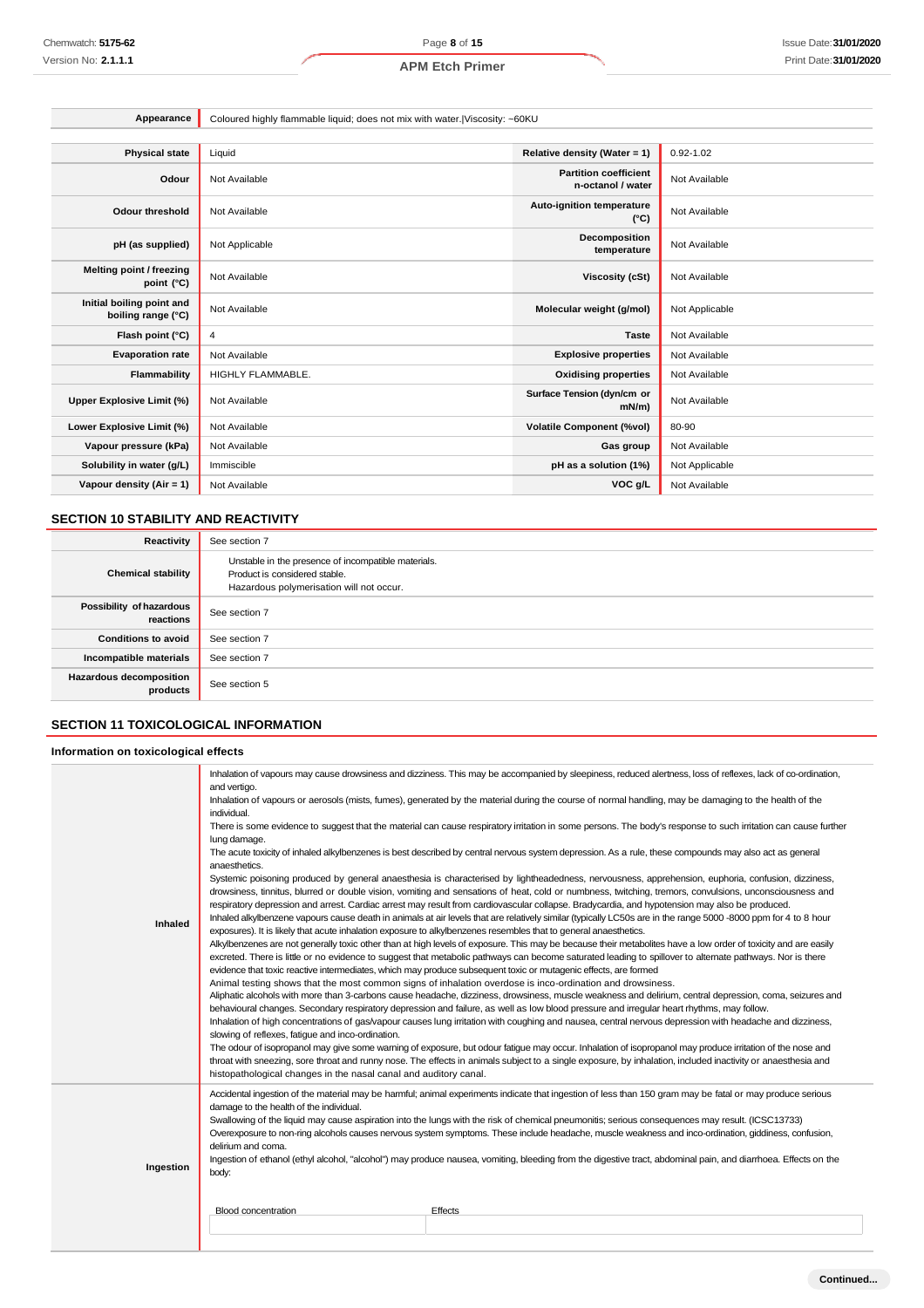| Appearance                                      | Coloured highly flammable liquid; does not mix with water. Viscosity: ~60KU |                                                   |                |
|-------------------------------------------------|-----------------------------------------------------------------------------|---------------------------------------------------|----------------|
|                                                 |                                                                             |                                                   |                |
| <b>Physical state</b>                           | Liquid                                                                      | Relative density (Water = 1)                      | $0.92 - 1.02$  |
| Odour                                           | Not Available                                                               | <b>Partition coefficient</b><br>n-octanol / water | Not Available  |
| Odour threshold                                 | Not Available                                                               | <b>Auto-ignition temperature</b><br>$(^{\circ}C)$ | Not Available  |
| pH (as supplied)                                | Not Applicable                                                              | <b>Decomposition</b><br>temperature               | Not Available  |
| <b>Melting point / freezing</b><br>point (°C)   | Not Available                                                               | <b>Viscosity (cSt)</b>                            | Not Available  |
| Initial boiling point and<br>boiling range (°C) | Not Available                                                               | Molecular weight (g/mol)                          | Not Applicable |
| Flash point (°C)                                | 4                                                                           | <b>Taste</b>                                      | Not Available  |
| <b>Evaporation rate</b>                         | Not Available                                                               | <b>Explosive properties</b>                       | Not Available  |
| Flammability                                    | HIGHLY FLAMMABLE.                                                           | <b>Oxidising properties</b>                       | Not Available  |
| Upper Explosive Limit (%)                       | Not Available                                                               | Surface Tension (dyn/cm or<br>$mN/m$ )            | Not Available  |
| Lower Explosive Limit (%)                       | Not Available                                                               | <b>Volatile Component (%vol)</b>                  | 80-90          |
| Vapour pressure (kPa)                           | Not Available                                                               | Gas group                                         | Not Available  |
| Solubility in water (g/L)                       | Immiscible                                                                  | pH as a solution (1%)                             | Not Applicable |
| Vapour density (Air = 1)                        | Not Available                                                               | VOC g/L                                           | Not Available  |

## **SECTION 10 STABILITY AND REACTIVITY**

| Reactivity                            | See section 7                                                                                                                    |
|---------------------------------------|----------------------------------------------------------------------------------------------------------------------------------|
| <b>Chemical stability</b>             | Unstable in the presence of incompatible materials.<br>Product is considered stable.<br>Hazardous polymerisation will not occur. |
| Possibility of hazardous<br>reactions | See section 7                                                                                                                    |
| <b>Conditions to avoid</b>            | See section 7                                                                                                                    |
| Incompatible materials                | See section 7                                                                                                                    |
| Hazardous decomposition<br>products   | See section 5                                                                                                                    |

## **SECTION 11 TOXICOLOGICAL INFORMATION**

## **Information on toxicological effects**

|           | and vertigo.                                                     | Inhalation of vapours may cause drowsiness and dizziness. This may be accompanied by sleepiness, reduced alertness, loss of reflexes, lack of co-ordination,                                                                                                                                                                                                                                                                                                                                                                                                                                                                     |
|-----------|------------------------------------------------------------------|----------------------------------------------------------------------------------------------------------------------------------------------------------------------------------------------------------------------------------------------------------------------------------------------------------------------------------------------------------------------------------------------------------------------------------------------------------------------------------------------------------------------------------------------------------------------------------------------------------------------------------|
|           | individual.                                                      | Inhalation of vapours or aerosols (mists, fumes), generated by the material during the course of normal handling, may be damaging to the health of the                                                                                                                                                                                                                                                                                                                                                                                                                                                                           |
|           | lung damage.                                                     | There is some evidence to suggest that the material can cause respiratory irritation in some persons. The body's response to such irritation can cause further                                                                                                                                                                                                                                                                                                                                                                                                                                                                   |
|           | anaesthetics.                                                    | The acute toxicity of inhaled alkylbenzenes is best described by central nervous system depression. As a rule, these compounds may also act as general                                                                                                                                                                                                                                                                                                                                                                                                                                                                           |
|           |                                                                  | Systemic poisoning produced by general anaesthesia is characterised by lightheadedness, nervousness, apprehension, euphoria, confusion, dizziness,<br>drowsiness, tinnitus, blurred or double vision, vomiting and sensations of heat, cold or numbness, twitching, tremors, convulsions, unconsciousness and<br>respiratory depression and arrest. Cardiac arrest may result from cardiovascular collapse. Bradycardia, and hypotension may also be produced.<br>Inhaled alkylbenzene vapours cause death in animals at air levels that are relatively similar (typically LC50s are in the range 5000 -8000 ppm for 4 to 8 hour |
| Inhaled   |                                                                  | exposures). It is likely that acute inhalation exposure to alkylbenzenes resembles that to general anaesthetics.<br>Alkylbenzenes are not generally toxic other than at high levels of exposure. This may be because their metabolites have a low order of toxicity and are easily<br>excreted. There is little or no evidence to suggest that metabolic pathways can become saturated leading to spillover to alternate pathways. Nor is there<br>evidence that toxic reactive intermediates, which may produce subsequent toxic or mutagenic effects, are formed                                                               |
|           | slowing of reflexes, fatigue and inco-ordination.                | Animal testing shows that the most common signs of inhalation overdose is inco-ordination and drowsiness.<br>Aliphatic alcohols with more than 3-carbons cause headache, dizziness, drowsiness, muscle weakness and delirium, central depression, coma, seizures and<br>behavioural changes. Secondary respiratory depression and failure, as well as low blood pressure and irregular heart rhythms, may follow.<br>Inhalation of high concentrations of gas/vapour causes lung irritation with coughing and nausea, central nervous depression with headache and dizziness,                                                    |
|           | histopathological changes in the nasal canal and auditory canal. | The odour of isopropanol may give some warning of exposure, but odour fatigue may occur. Inhalation of isopropanol may produce irritation of the nose and<br>throat with sneezing, sore throat and runny nose. The effects in animals subject to a single exposure, by inhalation, included inactivity or anaesthesia and                                                                                                                                                                                                                                                                                                        |
|           | damage to the health of the individual.                          | Accidental ingestion of the material may be harmful; animal experiments indicate that ingestion of less than 150 gram may be fatal or may produce serious<br>Swallowing of the liquid may cause aspiration into the lungs with the risk of chemical pneumonitis; serious consequences may result. (ICSC13733)<br>Overexposure to non-ring alcohols causes nervous system symptoms. These include headache, muscle weakness and inco-ordination, giddiness, confusion,                                                                                                                                                            |
| Ingestion | delirium and coma.<br>body:                                      | Ingestion of ethanol (ethyl alcohol, "alcohol") may produce nausea, vomiting, bleeding from the digestive tract, abdominal pain, and diarrhoea. Effects on the                                                                                                                                                                                                                                                                                                                                                                                                                                                                   |
|           | <b>Blood concentration</b>                                       | Effects                                                                                                                                                                                                                                                                                                                                                                                                                                                                                                                                                                                                                          |
|           |                                                                  |                                                                                                                                                                                                                                                                                                                                                                                                                                                                                                                                                                                                                                  |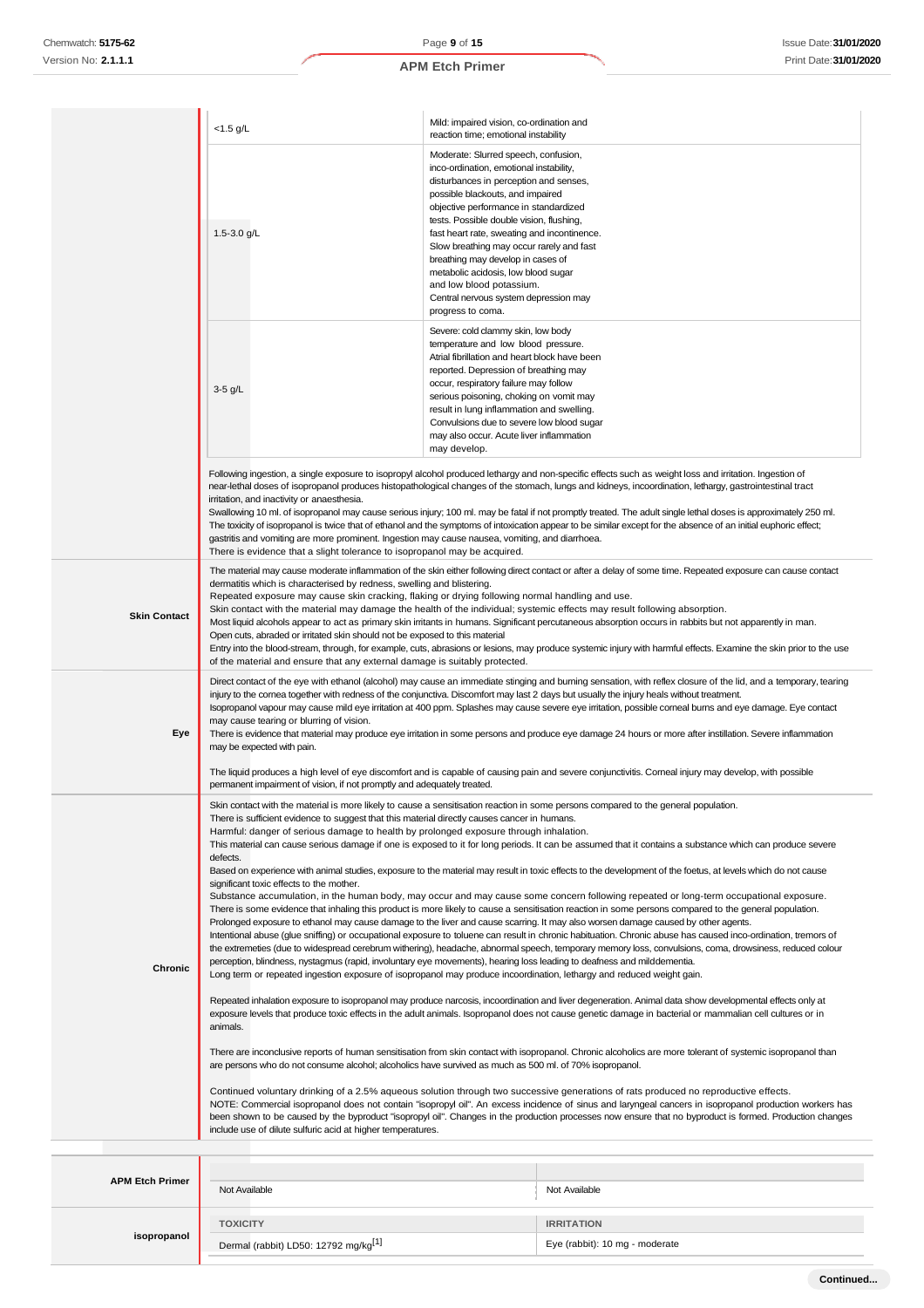|                        | $<$ 1.5 g/L                                                                                                                                                                                                                                                                                                                                                                                                                                                                                                                                                                                                                                                                                                                                                                                                                                                                                                                                                                                                                                                                                                                                                                                                                                                                                                                                                                                                                                                                                                                                                                                                                                                                                                                                                                                                                                                                                                                                                                                                                                                                                                                                                                                                                                                                                                                                                                                                                                                                                                                                                                                                                                                                                                                                                                                                           | Mild: impaired vision, co-ordination and<br>reaction time; emotional instability                                                                                                                                                                                                                                                                                                                                                                                                                                    |                                                                                                                                                                                                                                                                                                                                                                                                                                                                                                                                                                                                                                                           |
|------------------------|-----------------------------------------------------------------------------------------------------------------------------------------------------------------------------------------------------------------------------------------------------------------------------------------------------------------------------------------------------------------------------------------------------------------------------------------------------------------------------------------------------------------------------------------------------------------------------------------------------------------------------------------------------------------------------------------------------------------------------------------------------------------------------------------------------------------------------------------------------------------------------------------------------------------------------------------------------------------------------------------------------------------------------------------------------------------------------------------------------------------------------------------------------------------------------------------------------------------------------------------------------------------------------------------------------------------------------------------------------------------------------------------------------------------------------------------------------------------------------------------------------------------------------------------------------------------------------------------------------------------------------------------------------------------------------------------------------------------------------------------------------------------------------------------------------------------------------------------------------------------------------------------------------------------------------------------------------------------------------------------------------------------------------------------------------------------------------------------------------------------------------------------------------------------------------------------------------------------------------------------------------------------------------------------------------------------------------------------------------------------------------------------------------------------------------------------------------------------------------------------------------------------------------------------------------------------------------------------------------------------------------------------------------------------------------------------------------------------------------------------------------------------------------------------------------------------------|---------------------------------------------------------------------------------------------------------------------------------------------------------------------------------------------------------------------------------------------------------------------------------------------------------------------------------------------------------------------------------------------------------------------------------------------------------------------------------------------------------------------|-----------------------------------------------------------------------------------------------------------------------------------------------------------------------------------------------------------------------------------------------------------------------------------------------------------------------------------------------------------------------------------------------------------------------------------------------------------------------------------------------------------------------------------------------------------------------------------------------------------------------------------------------------------|
|                        | 1.5-3.0 g/L                                                                                                                                                                                                                                                                                                                                                                                                                                                                                                                                                                                                                                                                                                                                                                                                                                                                                                                                                                                                                                                                                                                                                                                                                                                                                                                                                                                                                                                                                                                                                                                                                                                                                                                                                                                                                                                                                                                                                                                                                                                                                                                                                                                                                                                                                                                                                                                                                                                                                                                                                                                                                                                                                                                                                                                                           | Moderate: Slurred speech, confusion,<br>inco-ordination, emotional instability,<br>disturbances in perception and senses,<br>possible blackouts, and impaired<br>objective performance in standardized<br>tests. Possible double vision, flushing,<br>fast heart rate, sweating and incontinence.<br>Slow breathing may occur rarely and fast<br>breathing may develop in cases of<br>metabolic acidosis, low blood sugar<br>and low blood potassium.<br>Central nervous system depression may<br>progress to coma. |                                                                                                                                                                                                                                                                                                                                                                                                                                                                                                                                                                                                                                                           |
|                        | $3-5$ g/L                                                                                                                                                                                                                                                                                                                                                                                                                                                                                                                                                                                                                                                                                                                                                                                                                                                                                                                                                                                                                                                                                                                                                                                                                                                                                                                                                                                                                                                                                                                                                                                                                                                                                                                                                                                                                                                                                                                                                                                                                                                                                                                                                                                                                                                                                                                                                                                                                                                                                                                                                                                                                                                                                                                                                                                                             | Severe: cold clammy skin, low body<br>temperature and low blood pressure.<br>Atrial fibrillation and heart block have been<br>reported. Depression of breathing may<br>occur, respiratory failure may follow<br>serious poisoning, choking on vomit may<br>result in lung inflammation and swelling.<br>Convulsions due to severe low blood sugar<br>may also occur. Acute liver inflammation<br>may develop.                                                                                                       |                                                                                                                                                                                                                                                                                                                                                                                                                                                                                                                                                                                                                                                           |
|                        | irritation, and inactivity or anaesthesia.<br>gastritis and vomiting are more prominent. Ingestion may cause nausea, vomiting, and diarrhoea.<br>There is evidence that a slight tolerance to isopropanol may be acquired.                                                                                                                                                                                                                                                                                                                                                                                                                                                                                                                                                                                                                                                                                                                                                                                                                                                                                                                                                                                                                                                                                                                                                                                                                                                                                                                                                                                                                                                                                                                                                                                                                                                                                                                                                                                                                                                                                                                                                                                                                                                                                                                                                                                                                                                                                                                                                                                                                                                                                                                                                                                            |                                                                                                                                                                                                                                                                                                                                                                                                                                                                                                                     | Following ingestion, a single exposure to isopropyl alcohol produced lethargy and non-specific effects such as weight loss and irritation. Ingestion of<br>near-lethal doses of isopropanol produces histopathological changes of the stomach, lungs and kidneys, incoordination, lethargy, gastrointestinal tract<br>Swallowing 10 ml. of isopropanol may cause serious injury; 100 ml. may be fatal if not promptly treated. The adult single lethal doses is approximately 250 ml.<br>The toxicity of isopropanol is twice that of ethanol and the symptoms of intoxication appear to be similar except for the absence of an initial euphoric effect; |
| <b>Skin Contact</b>    | The material may cause moderate inflammation of the skin either following direct contact or after a delay of some time. Repeated exposure can cause contact<br>dermatitis which is characterised by redness, swelling and blistering.<br>Repeated exposure may cause skin cracking, flaking or drying following normal handling and use.<br>Skin contact with the material may damage the health of the individual; systemic effects may result following absorption.<br>Most liquid alcohols appear to act as primary skin irritants in humans. Significant percutaneous absorption occurs in rabbits but not apparently in man.<br>Open cuts, abraded or irritated skin should not be exposed to this material<br>Entry into the blood-stream, through, for example, cuts, abrasions or lesions, may produce systemic injury with harmful effects. Examine the skin prior to the use<br>of the material and ensure that any external damage is suitably protected.                                                                                                                                                                                                                                                                                                                                                                                                                                                                                                                                                                                                                                                                                                                                                                                                                                                                                                                                                                                                                                                                                                                                                                                                                                                                                                                                                                                                                                                                                                                                                                                                                                                                                                                                                                                                                                                  |                                                                                                                                                                                                                                                                                                                                                                                                                                                                                                                     |                                                                                                                                                                                                                                                                                                                                                                                                                                                                                                                                                                                                                                                           |
| Eye                    | Direct contact of the eye with ethanol (alcohol) may cause an immediate stinging and burning sensation, with reflex closure of the lid, and a temporary, tearing<br>injury to the cornea together with redness of the conjunctiva. Discomfort may last 2 days but usually the injury heals without treatment.<br>Isopropanol vapour may cause mild eye irritation at 400 ppm. Splashes may cause severe eye irritation, possible comeal burns and eye damage. Eye contact<br>may cause tearing or blurring of vision.<br>There is evidence that material may produce eye irritation in some persons and produce eye damage 24 hours or more after instillation. Severe inflammation<br>may be expected with pain.<br>The liquid produces a high level of eye discomfort and is capable of causing pain and severe conjunctivitis. Corneal injury may develop, with possible<br>permanent impairment of vision, if not promptly and adequately treated.                                                                                                                                                                                                                                                                                                                                                                                                                                                                                                                                                                                                                                                                                                                                                                                                                                                                                                                                                                                                                                                                                                                                                                                                                                                                                                                                                                                                                                                                                                                                                                                                                                                                                                                                                                                                                                                                |                                                                                                                                                                                                                                                                                                                                                                                                                                                                                                                     |                                                                                                                                                                                                                                                                                                                                                                                                                                                                                                                                                                                                                                                           |
| Chronic                | Skin contact with the material is more likely to cause a sensitisation reaction in some persons compared to the general population.<br>There is sufficient evidence to suggest that this material directly causes cancer in humans.<br>Harmful: danger of serious damage to health by prolonged exposure through inhalation.<br>This material can cause serious damage if one is exposed to it for long periods. It can be assumed that it contains a substance which can produce severe<br>defects.<br>Based on experience with animal studies, exposure to the material may result in toxic effects to the development of the foetus, at levels which do not cause<br>significant toxic effects to the mother.<br>Substance accumulation, in the human body, may occur and may cause some concern following repeated or long-term occupational exposure.<br>There is some evidence that inhaling this product is more likely to cause a sensitisation reaction in some persons compared to the general population.<br>Prolonged exposure to ethanol may cause damage to the liver and cause scarring. It may also worsen damage caused by other agents.<br>Intentional abuse (glue sniffing) or occupational exposure to toluene can result in chronic habituation. Chronic abuse has caused inco-ordination, tremors of<br>the extremeties (due to widespread cerebrum withering), headache, abnormal speech, temporary memory loss, convulsions, coma, drowsiness, reduced colour<br>perception, blindness, nystagmus (rapid, involuntary eye movements), hearing loss leading to deafness and milddementia.<br>Long term or repeated ingestion exposure of isopropanol may produce incoordination, lethargy and reduced weight gain.<br>Repeated inhalation exposure to isopropanol may produce narcosis, incoordination and liver degeneration. Animal data show developmental effects only at<br>exposure levels that produce toxic effects in the adult animals. Isopropanol does not cause genetic damage in bacterial or mammalian cell cultures or in<br>animals.<br>There are inconclusive reports of human sensitisation from skin contact with isopropanol. Chronic alcoholics are more tolerant of systemic isopropanol than<br>are persons who do not consume alcohol; alcoholics have survived as much as 500 ml. of 70% isopropanol.<br>Continued voluntary drinking of a 2.5% aqueous solution through two successive generations of rats produced no reproductive effects.<br>NOTE: Commercial isopropanol does not contain "isopropyl oil". An excess incidence of sinus and laryngeal cancers in isopropanol production workers has<br>been shown to be caused by the byproduct "isopropyl oil". Changes in the production processes now ensure that no byproduct is formed. Production changes |                                                                                                                                                                                                                                                                                                                                                                                                                                                                                                                     |                                                                                                                                                                                                                                                                                                                                                                                                                                                                                                                                                                                                                                                           |
| <b>APM Etch Primer</b> | include use of dilute sulfuric acid at higher temperatures.<br>Not Available                                                                                                                                                                                                                                                                                                                                                                                                                                                                                                                                                                                                                                                                                                                                                                                                                                                                                                                                                                                                                                                                                                                                                                                                                                                                                                                                                                                                                                                                                                                                                                                                                                                                                                                                                                                                                                                                                                                                                                                                                                                                                                                                                                                                                                                                                                                                                                                                                                                                                                                                                                                                                                                                                                                                          |                                                                                                                                                                                                                                                                                                                                                                                                                                                                                                                     | Not Available                                                                                                                                                                                                                                                                                                                                                                                                                                                                                                                                                                                                                                             |

**TOXICITY IRRITATION**

Dermal (rabbit) LD50: 12792 mg/kg<sup>[1]</sup> Eye (rabbit): 10 mg - moderate

**isopropanol**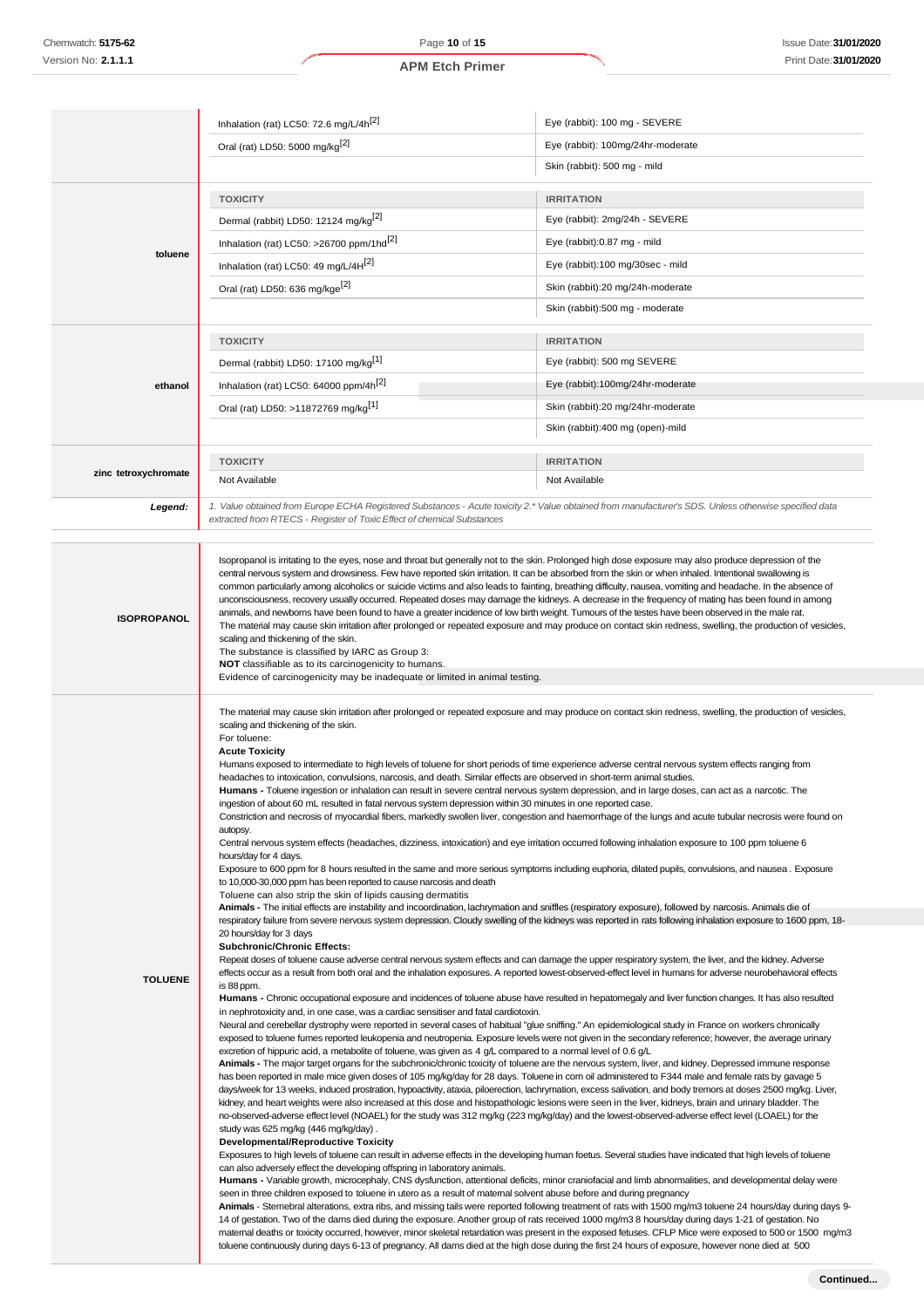|                      | Inhalation (rat) LC50: 72.6 mg/L/4h <sup>[2]</sup>                                                                                                                                                                                                                                                                                                                                                                                                                                                                                                                             | Eye (rabbit): 100 mg - SEVERE                                                                                                                                                                                                                                                                                                                                                                                                                                                                                                                                                                                                                                                                                                                                                                                                                                                                                                                                                                                                                                                                                                                                                                                                                                                                                                                                                                                                                                                                                                                                                                                                                                                                                                                                                                                                                                                                                                                                                                                                                                                                                                                                                                                                                   |
|----------------------|--------------------------------------------------------------------------------------------------------------------------------------------------------------------------------------------------------------------------------------------------------------------------------------------------------------------------------------------------------------------------------------------------------------------------------------------------------------------------------------------------------------------------------------------------------------------------------|-------------------------------------------------------------------------------------------------------------------------------------------------------------------------------------------------------------------------------------------------------------------------------------------------------------------------------------------------------------------------------------------------------------------------------------------------------------------------------------------------------------------------------------------------------------------------------------------------------------------------------------------------------------------------------------------------------------------------------------------------------------------------------------------------------------------------------------------------------------------------------------------------------------------------------------------------------------------------------------------------------------------------------------------------------------------------------------------------------------------------------------------------------------------------------------------------------------------------------------------------------------------------------------------------------------------------------------------------------------------------------------------------------------------------------------------------------------------------------------------------------------------------------------------------------------------------------------------------------------------------------------------------------------------------------------------------------------------------------------------------------------------------------------------------------------------------------------------------------------------------------------------------------------------------------------------------------------------------------------------------------------------------------------------------------------------------------------------------------------------------------------------------------------------------------------------------------------------------------------------------|
|                      |                                                                                                                                                                                                                                                                                                                                                                                                                                                                                                                                                                                |                                                                                                                                                                                                                                                                                                                                                                                                                                                                                                                                                                                                                                                                                                                                                                                                                                                                                                                                                                                                                                                                                                                                                                                                                                                                                                                                                                                                                                                                                                                                                                                                                                                                                                                                                                                                                                                                                                                                                                                                                                                                                                                                                                                                                                                 |
|                      | Oral (rat) LD50: 5000 mg/kg <sup>[2]</sup>                                                                                                                                                                                                                                                                                                                                                                                                                                                                                                                                     | Eye (rabbit): 100mg/24hr-moderate                                                                                                                                                                                                                                                                                                                                                                                                                                                                                                                                                                                                                                                                                                                                                                                                                                                                                                                                                                                                                                                                                                                                                                                                                                                                                                                                                                                                                                                                                                                                                                                                                                                                                                                                                                                                                                                                                                                                                                                                                                                                                                                                                                                                               |
|                      |                                                                                                                                                                                                                                                                                                                                                                                                                                                                                                                                                                                | Skin (rabbit): 500 mg - mild                                                                                                                                                                                                                                                                                                                                                                                                                                                                                                                                                                                                                                                                                                                                                                                                                                                                                                                                                                                                                                                                                                                                                                                                                                                                                                                                                                                                                                                                                                                                                                                                                                                                                                                                                                                                                                                                                                                                                                                                                                                                                                                                                                                                                    |
|                      | <b>TOXICITY</b>                                                                                                                                                                                                                                                                                                                                                                                                                                                                                                                                                                | <b>IRRITATION</b>                                                                                                                                                                                                                                                                                                                                                                                                                                                                                                                                                                                                                                                                                                                                                                                                                                                                                                                                                                                                                                                                                                                                                                                                                                                                                                                                                                                                                                                                                                                                                                                                                                                                                                                                                                                                                                                                                                                                                                                                                                                                                                                                                                                                                               |
|                      | Dermal (rabbit) LD50: 12124 mg/kg <sup>[2]</sup>                                                                                                                                                                                                                                                                                                                                                                                                                                                                                                                               | Eye (rabbit): 2mg/24h - SEVERE                                                                                                                                                                                                                                                                                                                                                                                                                                                                                                                                                                                                                                                                                                                                                                                                                                                                                                                                                                                                                                                                                                                                                                                                                                                                                                                                                                                                                                                                                                                                                                                                                                                                                                                                                                                                                                                                                                                                                                                                                                                                                                                                                                                                                  |
|                      | Inhalation (rat) LC50: >26700 ppm/1hd <sup>[2]</sup>                                                                                                                                                                                                                                                                                                                                                                                                                                                                                                                           | Eye (rabbit):0.87 mg - mild                                                                                                                                                                                                                                                                                                                                                                                                                                                                                                                                                                                                                                                                                                                                                                                                                                                                                                                                                                                                                                                                                                                                                                                                                                                                                                                                                                                                                                                                                                                                                                                                                                                                                                                                                                                                                                                                                                                                                                                                                                                                                                                                                                                                                     |
| toluene              | Inhalation (rat) LC50: 49 mg/L/4H <sup>[2]</sup>                                                                                                                                                                                                                                                                                                                                                                                                                                                                                                                               | Eye (rabbit):100 mg/30sec - mild                                                                                                                                                                                                                                                                                                                                                                                                                                                                                                                                                                                                                                                                                                                                                                                                                                                                                                                                                                                                                                                                                                                                                                                                                                                                                                                                                                                                                                                                                                                                                                                                                                                                                                                                                                                                                                                                                                                                                                                                                                                                                                                                                                                                                |
|                      | Oral (rat) LD50: 636 mg/kge <sup>[2]</sup>                                                                                                                                                                                                                                                                                                                                                                                                                                                                                                                                     | Skin (rabbit):20 mg/24h-moderate                                                                                                                                                                                                                                                                                                                                                                                                                                                                                                                                                                                                                                                                                                                                                                                                                                                                                                                                                                                                                                                                                                                                                                                                                                                                                                                                                                                                                                                                                                                                                                                                                                                                                                                                                                                                                                                                                                                                                                                                                                                                                                                                                                                                                |
|                      |                                                                                                                                                                                                                                                                                                                                                                                                                                                                                                                                                                                | Skin (rabbit):500 mg - moderate                                                                                                                                                                                                                                                                                                                                                                                                                                                                                                                                                                                                                                                                                                                                                                                                                                                                                                                                                                                                                                                                                                                                                                                                                                                                                                                                                                                                                                                                                                                                                                                                                                                                                                                                                                                                                                                                                                                                                                                                                                                                                                                                                                                                                 |
|                      |                                                                                                                                                                                                                                                                                                                                                                                                                                                                                                                                                                                |                                                                                                                                                                                                                                                                                                                                                                                                                                                                                                                                                                                                                                                                                                                                                                                                                                                                                                                                                                                                                                                                                                                                                                                                                                                                                                                                                                                                                                                                                                                                                                                                                                                                                                                                                                                                                                                                                                                                                                                                                                                                                                                                                                                                                                                 |
|                      | <b>TOXICITY</b>                                                                                                                                                                                                                                                                                                                                                                                                                                                                                                                                                                | <b>IRRITATION</b>                                                                                                                                                                                                                                                                                                                                                                                                                                                                                                                                                                                                                                                                                                                                                                                                                                                                                                                                                                                                                                                                                                                                                                                                                                                                                                                                                                                                                                                                                                                                                                                                                                                                                                                                                                                                                                                                                                                                                                                                                                                                                                                                                                                                                               |
|                      | Dermal (rabbit) LD50: 17100 mg/kg <sup>[1]</sup>                                                                                                                                                                                                                                                                                                                                                                                                                                                                                                                               | Eye (rabbit): 500 mg SEVERE                                                                                                                                                                                                                                                                                                                                                                                                                                                                                                                                                                                                                                                                                                                                                                                                                                                                                                                                                                                                                                                                                                                                                                                                                                                                                                                                                                                                                                                                                                                                                                                                                                                                                                                                                                                                                                                                                                                                                                                                                                                                                                                                                                                                                     |
| ethanol              | Inhalation (rat) LC50: 64000 ppm/4h <sup>[2]</sup>                                                                                                                                                                                                                                                                                                                                                                                                                                                                                                                             | Eye (rabbit):100mg/24hr-moderate                                                                                                                                                                                                                                                                                                                                                                                                                                                                                                                                                                                                                                                                                                                                                                                                                                                                                                                                                                                                                                                                                                                                                                                                                                                                                                                                                                                                                                                                                                                                                                                                                                                                                                                                                                                                                                                                                                                                                                                                                                                                                                                                                                                                                |
|                      | Oral (rat) LD50: >11872769 mg/kg <sup>[1]</sup>                                                                                                                                                                                                                                                                                                                                                                                                                                                                                                                                | Skin (rabbit):20 mg/24hr-moderate                                                                                                                                                                                                                                                                                                                                                                                                                                                                                                                                                                                                                                                                                                                                                                                                                                                                                                                                                                                                                                                                                                                                                                                                                                                                                                                                                                                                                                                                                                                                                                                                                                                                                                                                                                                                                                                                                                                                                                                                                                                                                                                                                                                                               |
|                      |                                                                                                                                                                                                                                                                                                                                                                                                                                                                                                                                                                                | Skin (rabbit):400 mg (open)-mild                                                                                                                                                                                                                                                                                                                                                                                                                                                                                                                                                                                                                                                                                                                                                                                                                                                                                                                                                                                                                                                                                                                                                                                                                                                                                                                                                                                                                                                                                                                                                                                                                                                                                                                                                                                                                                                                                                                                                                                                                                                                                                                                                                                                                |
|                      |                                                                                                                                                                                                                                                                                                                                                                                                                                                                                                                                                                                |                                                                                                                                                                                                                                                                                                                                                                                                                                                                                                                                                                                                                                                                                                                                                                                                                                                                                                                                                                                                                                                                                                                                                                                                                                                                                                                                                                                                                                                                                                                                                                                                                                                                                                                                                                                                                                                                                                                                                                                                                                                                                                                                                                                                                                                 |
| zinc tetroxychromate | <b>TOXICITY</b><br>Not Available                                                                                                                                                                                                                                                                                                                                                                                                                                                                                                                                               | <b>IRRITATION</b><br>Not Available                                                                                                                                                                                                                                                                                                                                                                                                                                                                                                                                                                                                                                                                                                                                                                                                                                                                                                                                                                                                                                                                                                                                                                                                                                                                                                                                                                                                                                                                                                                                                                                                                                                                                                                                                                                                                                                                                                                                                                                                                                                                                                                                                                                                              |
|                      |                                                                                                                                                                                                                                                                                                                                                                                                                                                                                                                                                                                |                                                                                                                                                                                                                                                                                                                                                                                                                                                                                                                                                                                                                                                                                                                                                                                                                                                                                                                                                                                                                                                                                                                                                                                                                                                                                                                                                                                                                                                                                                                                                                                                                                                                                                                                                                                                                                                                                                                                                                                                                                                                                                                                                                                                                                                 |
| Legend:              | extracted from RTECS - Register of Toxic Effect of chemical Substances                                                                                                                                                                                                                                                                                                                                                                                                                                                                                                         | 1. Value obtained from Europe ECHA Registered Substances - Acute toxicity 2.* Value obtained from manufacturer's SDS. Unless otherwise specified data                                                                                                                                                                                                                                                                                                                                                                                                                                                                                                                                                                                                                                                                                                                                                                                                                                                                                                                                                                                                                                                                                                                                                                                                                                                                                                                                                                                                                                                                                                                                                                                                                                                                                                                                                                                                                                                                                                                                                                                                                                                                                           |
|                      |                                                                                                                                                                                                                                                                                                                                                                                                                                                                                                                                                                                |                                                                                                                                                                                                                                                                                                                                                                                                                                                                                                                                                                                                                                                                                                                                                                                                                                                                                                                                                                                                                                                                                                                                                                                                                                                                                                                                                                                                                                                                                                                                                                                                                                                                                                                                                                                                                                                                                                                                                                                                                                                                                                                                                                                                                                                 |
| <b>ISOPROPANOL</b>   | scaling and thickening of the skin.                                                                                                                                                                                                                                                                                                                                                                                                                                                                                                                                            | central nervous system and drowsiness. Few have reported skin irritation. It can be absorbed from the skin or when inhaled. Intentional swallowing is<br>common particularly among alcoholics or suicide victims and also leads to fainting, breathing difficulty, nausea, vomiting and headache. In the absence of<br>unconsciousness, recovery usually occurred. Repeated doses may damage the kidneys. A decrease in the frequency of mating has been found in among<br>animals, and newboms have been found to have a greater incidence of low birth weight. Tumours of the testes have been observed in the male rat.<br>The material may cause skin irritation after prolonged or repeated exposure and may produce on contact skin redness, swelling, the production of vesicles,                                                                                                                                                                                                                                                                                                                                                                                                                                                                                                                                                                                                                                                                                                                                                                                                                                                                                                                                                                                                                                                                                                                                                                                                                                                                                                                                                                                                                                                        |
|                      | The substance is classified by IARC as Group 3:                                                                                                                                                                                                                                                                                                                                                                                                                                                                                                                                |                                                                                                                                                                                                                                                                                                                                                                                                                                                                                                                                                                                                                                                                                                                                                                                                                                                                                                                                                                                                                                                                                                                                                                                                                                                                                                                                                                                                                                                                                                                                                                                                                                                                                                                                                                                                                                                                                                                                                                                                                                                                                                                                                                                                                                                 |
|                      | NOT classifiable as to its carcinogenicity to humans.<br>Evidence of carcinogenicity may be inadequate or limited in animal testing.                                                                                                                                                                                                                                                                                                                                                                                                                                           |                                                                                                                                                                                                                                                                                                                                                                                                                                                                                                                                                                                                                                                                                                                                                                                                                                                                                                                                                                                                                                                                                                                                                                                                                                                                                                                                                                                                                                                                                                                                                                                                                                                                                                                                                                                                                                                                                                                                                                                                                                                                                                                                                                                                                                                 |
|                      | scaling and thickening of the skin.<br>For toluene:<br><b>Acute Toxicity</b><br>headaches to intoxication, convulsions, narcosis, and death. Similar effects are observed in short-term animal studies.<br>ingestion of about 60 mL resulted in fatal nervous system depression within 30 minutes in one reported case.<br>autopsy.<br>hours/day for 4 days.<br>to 10,000-30,000 ppm has been reported to cause narcosis and death<br>Toluene can also strip the skin of lipids causing dermatitis                                                                             | The material may cause skin irritation after prolonged or repeated exposure and may produce on contact skin redness, swelling, the production of vesicles,<br>Humans exposed to intermediate to high levels of toluene for short periods of time experience adverse central nervous system effects ranging from<br>Humans - Toluene ingestion or inhalation can result in severe central nervous system depression, and in large doses, can act as a narcotic. The<br>Constriction and necrosis of myocardial fibers, markedly swollen liver, congestion and haemorrhage of the lungs and acute tubular necrosis were found on<br>Central nervous system effects (headaches, dizziness, intoxication) and eye irritation occurred following inhalation exposure to 100 ppm toluene 6<br>Exposure to 600 ppm for 8 hours resulted in the same and more serious symptoms including euphoria, dilated pupils, convulsions, and nausea. Exposure                                                                                                                                                                                                                                                                                                                                                                                                                                                                                                                                                                                                                                                                                                                                                                                                                                                                                                                                                                                                                                                                                                                                                                                                                                                                                                    |
|                      |                                                                                                                                                                                                                                                                                                                                                                                                                                                                                                                                                                                | Animals - The initial effects are instability and incoordination, lachrymation and sniffles (respiratory exposure), followed by narcosis. Animals die of<br>respiratory failure from severe nervous system depression. Cloudy swelling of the kidneys was reported in rats following inhalation exposure to 1600 ppm, 18-                                                                                                                                                                                                                                                                                                                                                                                                                                                                                                                                                                                                                                                                                                                                                                                                                                                                                                                                                                                                                                                                                                                                                                                                                                                                                                                                                                                                                                                                                                                                                                                                                                                                                                                                                                                                                                                                                                                       |
| <b>TOLUENE</b>       | 20 hours/day for 3 days<br><b>Subchronic/Chronic Effects:</b><br>is 88 ppm.<br>in nephrotoxicity and, in one case, was a cardiac sensitiser and fatal cardiotoxin.<br>excretion of hippuric acid, a metabolite of toluene, was given as 4 g/L compared to a normal level of 0.6 g/L<br>study was 625 mg/kg (446 mg/kg/day).<br><b>Developmental/Reproductive Toxicity</b><br>can also adversely effect the developing offspring in laboratory animals.<br>seen in three children exposed to toluene in utero as a result of maternal solvent abuse before and during pregnancy | Repeat doses of toluene cause adverse central nervous system effects and can damage the upper respiratory system, the liver, and the kidney. Adverse<br>effects occur as a result from both oral and the inhalation exposures. A reported lowest-observed-effect level in humans for adverse neurobehavioral effects<br>Humans - Chronic occupational exposure and incidences of toluene abuse have resulted in hepatomegaly and liver function changes. It has also resulted<br>Neural and cerebellar dystrophy were reported in several cases of habitual "glue sniffing." An epidemiological study in France on workers chronically<br>exposed to toluene fumes reported leukopenia and neutropenia. Exposure levels were not given in the secondary reference; however, the average urinary<br>Animals - The major target organs for the subchronic/chronic toxicity of toluene are the nervous system, liver, and kidney. Depressed immune response<br>has been reported in male mice given doses of 105 mg/kg/day for 28 days. Toluene in corn oil administered to F344 male and female rats by gavage 5<br>days/week for 13 weeks, induced prostration, hypoactivity, ataxia, piloerection, lachrymation, excess salivation, and body tremors at doses 2500 mg/kg. Liver,<br>kidney, and heart weights were also increased at this dose and histopathologic lesions were seen in the liver, kidneys, brain and urinary bladder. The<br>no-observed-adverse effect level (NOAEL) for the study was 312 mg/kg (223 mg/kg/day) and the lowest-observed-adverse effect level (LOAEL) for the<br>Exposures to high levels of toluene can result in adverse effects in the developing human foetus. Several studies have indicated that high levels of toluene<br>Humans - Variable growth, microcephaly, CNS dysfunction, attentional deficits, minor craniofacial and limb abnormalities, and developmental delay were<br>Animals - Stemebral alterations, extra ribs, and missing tails were reported following treatment of rats with 1500 mg/m3 toluene 24 hours/day during days 9-<br>14 of gestation. Two of the dams died during the exposure. Another group of rats received 1000 mg/m3 8 hours/day during days 1-21 of gestation. No |

toluene continuously during days 6-13 of pregnancy. All dams died at the high dose during the first 24 hours of exposure, however none died at 500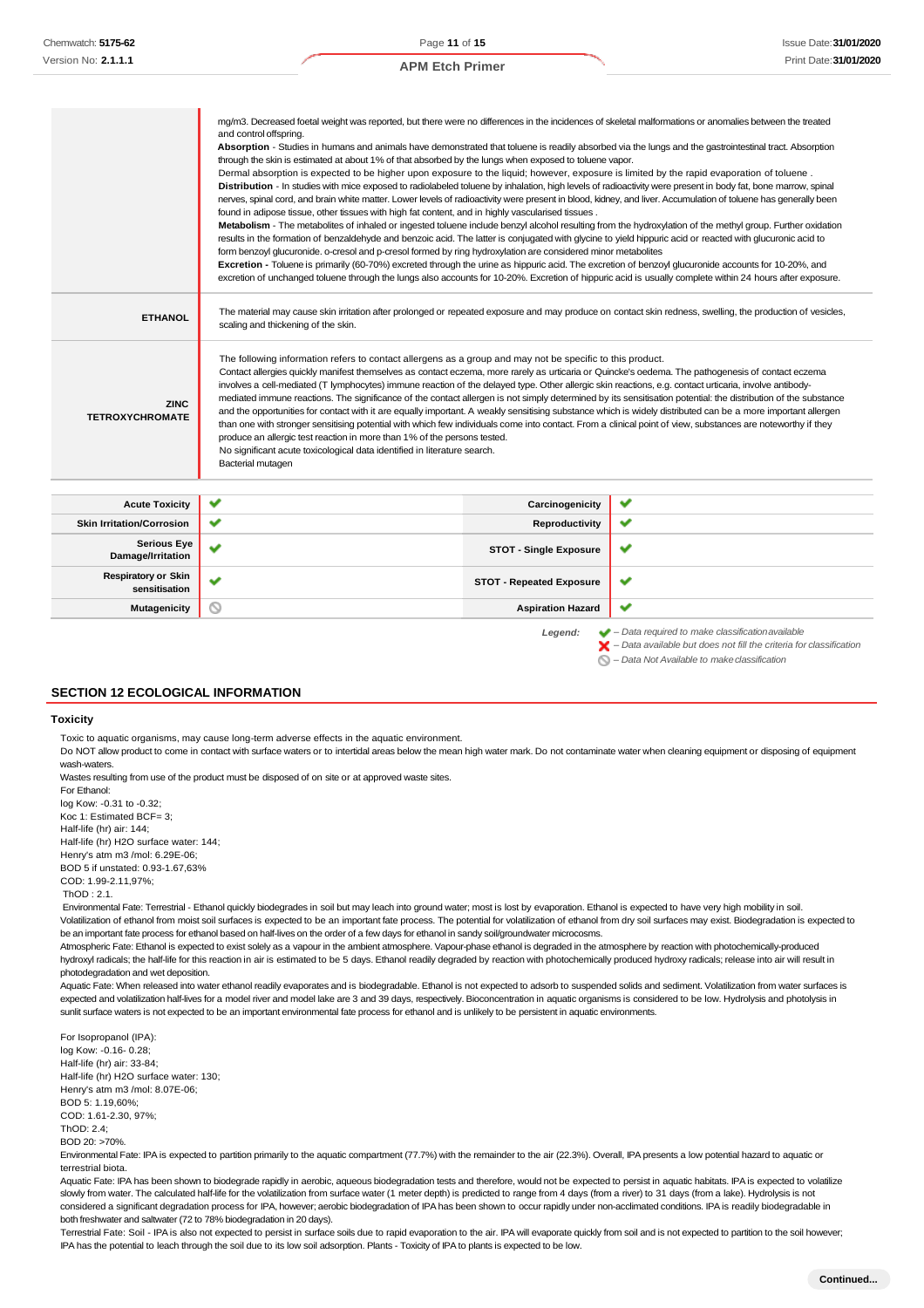|                                             | mg/m3. Decreased foetal weight was reported, but there were no differences in the incidences of skeletal malformations or anomalies between the treated<br>and control offspring.<br>Absorption - Studies in humans and animals have demonstrated that toluene is readily absorbed via the lungs and the gastrointestinal tract. Absorption<br>through the skin is estimated at about 1% of that absorbed by the lungs when exposed to toluene vapor.<br>Dermal absorption is expected to be higher upon exposure to the liquid; however, exposure is limited by the rapid evaporation of toluene.<br>Distribution - In studies with mice exposed to radiolabeled toluene by inhalation, high levels of radioactivity were present in body fat, bone marrow, spinal<br>nerves, spinal cord, and brain white matter. Lower levels of radioactivity were present in blood, kidney, and liver. Accumulation of toluene has generally been<br>found in adipose tissue, other tissues with high fat content, and in highly vascularised tissues.<br>Metabolism - The metabolites of inhaled or ingested toluene include benzyl alcohol resulting from the hydroxylation of the methyl group. Further oxidation<br>results in the formation of benzaldehyde and benzoic acid. The latter is conjugated with glycine to yield hippuric acid or reacted with glucuronic acid to<br>form benzoyl glucuronide. o-cresol and p-cresol formed by ring hydroxylation are considered minor metabolites<br>Excretion - Toluene is primarily (60-70%) excreted through the urine as hippuric acid. The excretion of benzoyl glucuronide accounts for 10-20%, and<br>excretion of unchanged toluene through the lungs also accounts for 10-20%. Excretion of hippuric acid is usually complete within 24 hours after exposure. |                                 |                                                                                                                                                                                                                              |
|---------------------------------------------|---------------------------------------------------------------------------------------------------------------------------------------------------------------------------------------------------------------------------------------------------------------------------------------------------------------------------------------------------------------------------------------------------------------------------------------------------------------------------------------------------------------------------------------------------------------------------------------------------------------------------------------------------------------------------------------------------------------------------------------------------------------------------------------------------------------------------------------------------------------------------------------------------------------------------------------------------------------------------------------------------------------------------------------------------------------------------------------------------------------------------------------------------------------------------------------------------------------------------------------------------------------------------------------------------------------------------------------------------------------------------------------------------------------------------------------------------------------------------------------------------------------------------------------------------------------------------------------------------------------------------------------------------------------------------------------------------------------------------------------------------------------------------------------------------------------|---------------------------------|------------------------------------------------------------------------------------------------------------------------------------------------------------------------------------------------------------------------------|
| <b>ETHANOL</b>                              | The material may cause skin irritation after prolonged or repeated exposure and may produce on contact skin redness, swelling, the production of vesicles,<br>scaling and thickening of the skin.                                                                                                                                                                                                                                                                                                                                                                                                                                                                                                                                                                                                                                                                                                                                                                                                                                                                                                                                                                                                                                                                                                                                                                                                                                                                                                                                                                                                                                                                                                                                                                                                             |                                 |                                                                                                                                                                                                                              |
| <b>ZINC</b><br><b>TETROXYCHROMATE</b>       | The following information refers to contact allergens as a group and may not be specific to this product.<br>Contact allergies quickly manifest themselves as contact eczema, more rarely as urticaria or Quincke's oedema. The pathogenesis of contact eczema<br>involves a cell-mediated (T lymphocytes) immune reaction of the delayed type. Other allergic skin reactions, e.g. contact urticaria, involve antibody-<br>mediated immune reactions. The significance of the contact allergen is not simply determined by its sensitisation potential: the distribution of the substance<br>and the opportunities for contact with it are equally important. A weakly sensitising substance which is widely distributed can be a more important allergen<br>than one with stronger sensitising potential with which few individuals come into contact. From a clinical point of view, substances are noteworthy if they<br>produce an allergic test reaction in more than 1% of the persons tested.<br>No significant acute toxicological data identified in literature search.<br>Bacterial mutagen                                                                                                                                                                                                                                                                                                                                                                                                                                                                                                                                                                                                                                                                                                        |                                 |                                                                                                                                                                                                                              |
| <b>Acute Toxicity</b>                       | ✔                                                                                                                                                                                                                                                                                                                                                                                                                                                                                                                                                                                                                                                                                                                                                                                                                                                                                                                                                                                                                                                                                                                                                                                                                                                                                                                                                                                                                                                                                                                                                                                                                                                                                                                                                                                                             | Carcinogenicity                 | ✔                                                                                                                                                                                                                            |
| <b>Skin Irritation/Corrosion</b>            | ✔                                                                                                                                                                                                                                                                                                                                                                                                                                                                                                                                                                                                                                                                                                                                                                                                                                                                                                                                                                                                                                                                                                                                                                                                                                                                                                                                                                                                                                                                                                                                                                                                                                                                                                                                                                                                             | Reproductivity                  | ✔                                                                                                                                                                                                                            |
| <b>Serious Eye</b><br>Damage/Irritation     | ✔                                                                                                                                                                                                                                                                                                                                                                                                                                                                                                                                                                                                                                                                                                                                                                                                                                                                                                                                                                                                                                                                                                                                                                                                                                                                                                                                                                                                                                                                                                                                                                                                                                                                                                                                                                                                             | <b>STOT - Single Exposure</b>   | ✔                                                                                                                                                                                                                            |
| <b>Respiratory or Skin</b><br>sensitisation | ✔                                                                                                                                                                                                                                                                                                                                                                                                                                                                                                                                                                                                                                                                                                                                                                                                                                                                                                                                                                                                                                                                                                                                                                                                                                                                                                                                                                                                                                                                                                                                                                                                                                                                                                                                                                                                             | <b>STOT - Repeated Exposure</b> | ✔                                                                                                                                                                                                                            |
| <b>Mutagenicity</b>                         | $\scriptstyle\sim$                                                                                                                                                                                                                                                                                                                                                                                                                                                                                                                                                                                                                                                                                                                                                                                                                                                                                                                                                                                                                                                                                                                                                                                                                                                                                                                                                                                                                                                                                                                                                                                                                                                                                                                                                                                            | <b>Aspiration Hazard</b>        | ✔                                                                                                                                                                                                                            |
|                                             |                                                                                                                                                                                                                                                                                                                                                                                                                                                                                                                                                                                                                                                                                                                                                                                                                                                                                                                                                                                                                                                                                                                                                                                                                                                                                                                                                                                                                                                                                                                                                                                                                                                                                                                                                                                                               | Legend:                         | $\blacktriangleright$ - Data required to make classification available<br>$\blacktriangleright$ - Data available but does not fill the criteria for classification<br>$\bigcirc$ – Data Not Available to make classification |

#### **SECTION 12 ECOLOGICAL INFORMATION**

#### **Toxicity**

Toxic to aquatic organisms, may cause long-term adverse effects in the aquatic environment.

Do NOT allow product to come in contact with surface waters or to intertidal areas below the mean high water mark. Do not contaminate water when cleaning equipment or disposing of equipment wash-waters.

Wastes resulting from use of the product must be disposed of on site or at approved waste sites. For Ethanol:

log Kow: -0.31 to -0.32; Koc 1: Estimated BCF= 3; Half-life (hr) air: 144; Half-life (hr) H2O surface water: 144; Henry's atm m3 /mol: 6.29E-06; BOD 5 if unstated: 0.93-1.67,63% COD: 1.99-2.11,97%;

#### ThOD : 2.1.

Environmental Fate: Terrestrial - Ethanol quickly biodegrades in soil but may leach into ground water; most is lost by evaporation. Ethanol is expected to have very high mobility in soil. Volatilization of ethanol from moist soil surfaces is expected to be an important fate process. The potential for volatilization of ethanol from dry soil surfaces may exist. Biodegradation is expected to be an important fate process for ethanol based on half-lives on the order of a few days for ethanol in sandy soil/groundwater microcosms.

Atmospheric Fate: Ethanol is expected to exist solely as a vapour in the ambient atmosphere. Vapour-phase ethanol is degraded in the atmosphere by reaction with photochemically-produced hydroxyl radicals; the half-life for this reaction in air is estimated to be 5 days. Ethanol readily degraded by reaction with photochemically produced hydroxy radicals; release into air will result in photodegradation and wet deposition.

Aquatic Fate: When released into water ethanol readily evaporates and is biodegradable. Ethanol is not expected to adsorb to suspended solids and sediment. Volatilization from water surfaces is expected and volatilization half-lives for a model river and model lake are 3 and 39 days, respectively. Bioconcentration in aquatic organisms is considered to be low. Hydrolysis and photolysis in sunlit surface waters is not expected to be an important environmental fate process for ethanol and is unlikely to be persistent in aquatic environments.

For Isopropanol (IPA): log Kow: -0.16- 0.28; Half-life (hr) air: 33-84; Half-life (hr) H2O surface water: 130; Henry's atm m3 /mol: 8.07E-06; BOD 5: 1.19,60%; COD: 1.61-2.30, 97%; ThOD: 2.4; BOD 20: >70%.

Environmental Fate: IPA is expected to partition primarily to the aquatic compartment (77.7%) with the remainder to the air (22.3%). Overall, IPA presents a low potential hazard to aquatic or terrestrial biota.

Aquatic Fate: IPA has been shown to biodegrade rapidly in aerobic, aqueous biodegradation tests and therefore, would not be expected to persist in aquatic habitats. IPA is expected to volatilize slowly from water. The calculated half-life for the volatilization from surface water (1 meter depth) is predicted to range from 4 days (from a river) to 31 days (from a lake). Hydrolysis is not considered a significant degradation process for IPA, however; aerobic biodegradation of IPA has been shown to occur rapidly under non-acclimated conditions. IPA is readily biodegradable in both freshwater and saltwater (72 to 78% biodegradation in 20 days).

Terrestrial Fate: Soil - IPA is also not expected to persist in surface soils due to rapid evaporation to the air. IPA will evaporate quickly from soil and is not expected to partition to the soil however; IPA has the potential to leach through the soil due to its low soil adsorption. Plants - Toxicity of IPA to plants is expected to be low.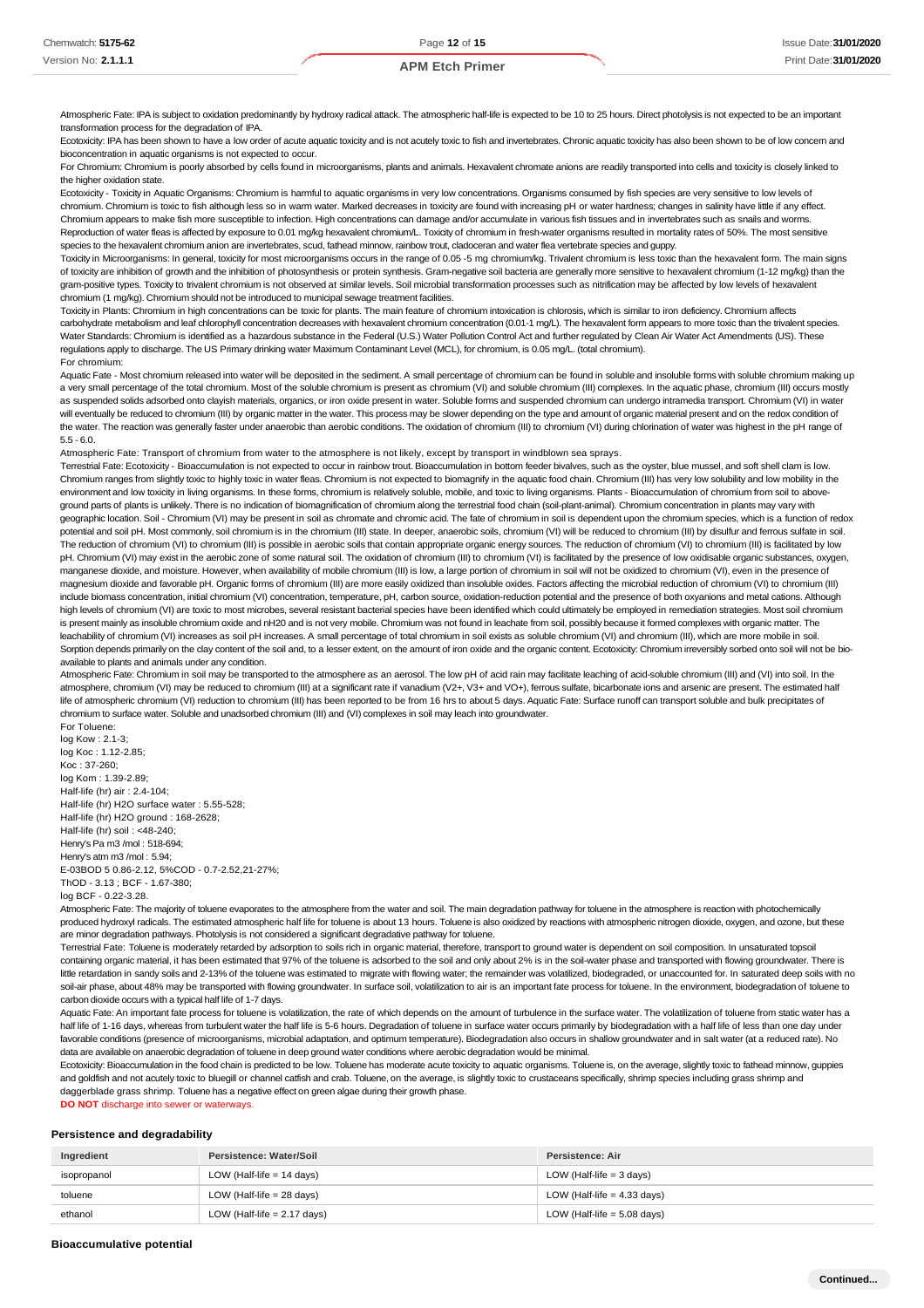Atmospheric Fate: IPA is subject to oxidation predominantly by hydroxy radical attack. The atmospheric half-life is expected to be 10 to 25 hours. Direct photolysis is not expected to be an important transformation process for the degradation of IPA.

Ecotoxicity: IPA has been shown to have a low order of acute aquatic toxicity and is not acutely toxic to fish and invertebrates. Chronic aquatic toxicity has also been shown to be of low concern and bioconcentration in aquatic organisms is not expected to occur.

For Chromium: Chromium is poorly absorbed by cells found in microorganisms, plants and animals. Hexavalent chromate anions are readily transported into cells and toxicity is closely linked to the higher oxidation state.

Ecotoxicity - Toxicity in Aquatic Organisms: Chromium is harmful to aquatic organisms in very low concentrations. Organisms consumed by fish species are very sensitive to low levels of chromium. Chromium is toxic to fish although less so in warm water. Marked decreases in toxicity are found with increasing pH or water hardness; changes in salinity have little if any effect. Chromium appears to make fish more susceptible to infection. High concentrations can damage and/or accumulate in various fish tissues and in invertebrates such as snails and worms. Reproduction of water fleas is affected by exposure to 0.01 mg/kg hexavalent chromium/L. Toxicity of chromium in fresh-water organisms resulted in mortality rates of 50%. The most sensitive species to the hexavalent chromium anion are invertebrates, scud, fathead minnow, rainbow trout, cladoceran and water flea vertebrate species and guppy.

Toxicity in Microorganisms: In general, toxicity for most microorganisms occurs in the range of 0.05 -5 mg chromium/kg. Trivalent chromium is less toxic than the hexavalent form. The main signs of toxicity are inhibition of growth and the inhibition of photosynthesis or protein synthesis. Gram-negative soil bacteria are generally more sensitive to hexavalent chromium (1-12 mg/kg) than the gram-positive types. Toxicity to trivalent chromium is not observed at similar levels. Soil microbial transformation processes such as nitrification may be affected by low levels of hexavalent chromium (1 mg/kg). Chromium should not be introduced to municipal sewage treatment facilities.

Toxicity in Plants: Chromium in high concentrations can be toxic for plants. The main feature of chromium intoxication is chlorosis, which is similar to iron deficiency. Chromium affects carbohydrate metabolism and leaf chlorophyll concentration decreases with hexavalent chromium concentration (0.01-1 mg/L). The hexavalent form appears to more toxic than the trivalent species. Water Standards: Chromium is identified as a hazardous substance in the Federal (U.S.) Water Pollution Control Act and further regulated by Clean Air Water Act Amendments (US). These regulations apply to discharge. The US Primary drinking water Maximum Contaminant Level (MCL), for chromium, is 0.05 mg/L. (total chromium). For chromium:

Aquatic Fate - Most chromium released into water will be deposited in the sediment. A small percentage of chromium can be found in soluble and insoluble forms with soluble chromium making up a very small percentage of the total chromium. Most of the soluble chromium is present as chromium (VI) and soluble chromium (III) complexes. In the aquatic phase, chromium (III) occurs mostly as suspended solids adsorbed onto clayish materials, organics, or iron oxide present in water. Soluble forms and suspended chromium can undergo intramedia transport. Chromium (VI) in water will eventually be reduced to chromium (III) by organic matter in the water. This process may be slower depending on the type and amount of organic material present and on the redox condition of the water. The reaction was generally faster under anaerobic than aerobic conditions. The oxidation of chromium (III) to chromium (VI) during chlorination of water was highest in the pH range of 5.5 - 6.0.

Atmospheric Fate: Transport of chromium from water to the atmosphere is not likely, except by transport in windblown sea sprays.

Terrestrial Fate: Ecotoxicity - Bioaccumulation is not expected to occur in rainbow trout. Bioaccumulation in bottom feeder bivalves, such as the oyster, blue mussel, and soft shell clam is low. Chromium ranges from slightly toxic to highly toxic in water fleas. Chromium is not expected to biomagnify in the aquatic food chain. Chromium (III) has very low solubility and low mobility in the environment and low toxicity in living organisms. In these forms, chromium is relatively soluble, mobile, and toxic to living organisms. Plants - Bioaccumulation of chromium from soil to aboveground parts of plants is unlikely. There is no indication of biomagnification of chromium along the terrestrial food chain (soil-plant-animal). Chromium concentration in plants may vary with geographic location. Soil - Chromium (VI) may be present in soil as chromate and chromic acid. The fate of chromium in soil is dependent upon the chromium species, which is a function of redox potential and soil pH. Most commonly, soil chromium is in the chromium (III) state. In deeper, anaerobic soils, chromium (VI) will be reduced to chromium (III) by disulfur and ferrous sulfate in soil. The reduction of chromium (VI) to chromium (III) is possible in aerobic soils that contain appropriate organic energy sources. The reduction of chromium (VI) to chromium (III) is facilitated by low pH. Chromium (VI) may exist in the aerobic zone of some natural soil. The oxidation of chromium (III) to chromium (VI) is facilitated by the presence of low oxidisable organic substances, oxygen, manganese dioxide, and moisture. However, when availability of mobile chromium (III) is low, a large portion of chromium in soil will not be oxidized to chromium (VI), even in the presence of magnesium dioxide and favorable pH. Organic forms of chromium (III) are more easily oxidized than insoluble oxides. Factors affecting the microbial reduction of chromium (VI) to chromium (III) include biomass concentration, initial chromium (VI) concentration, temperature, pH, carbon source, oxidation-reduction potential and the presence of both oxyanions and metal cations. Although high levels of chromium (VI) are toxic to most microbes, several resistant bacterial species have been identified which could ultimately be employed in remediation strategies. Most soil chromium is present mainly as insoluble chromium oxide and nH20 and is not very mobile. Chromium was not found in leachate from soil, possibly because it formed complexes with organic matter. The leachability of chromium (VI) increases as soil pH increases. A small percentage of total chromium in soil exists as soluble chromium (VI) and chromium (III), which are more mobile in soil. Sorption depends primarily on the clay content of the soil and, to a lesser extent, on the amount of iron oxide and the organic content. Ecotoxicity: Chromium irreversibly sorbed onto soil will not be bioavailable to plants and animals under any condition.

Atmospheric Fate: Chromium in soil may be transported to the atmosphere as an aerosol. The low pH of acid rain may facilitate leaching of acid-soluble chromium (III) and (VI) into soil. In the atmosphere, chromium (VI) may be reduced to chromium (III) at a significant rate if vanadium (V2+, V3+ and VO+), ferrous sulfate, bicarbonate ions and arsenic are present. The estimated half life of atmospheric chromium (VI) reduction to chromium (III) has been reported to be from 16 hrs to about 5 days. Aquatic Fate: Surface runoff can transport soluble and bulk precipitates of chromium to surface water. Soluble and unadsorbed chromium (III) and (VI) complexes in soil may leach into groundwater. For Toluene:

log Kow : 2.1-3; log Koc : 1.12-2.85; Koc : 37-260; log Kom : 1.39-2.89; Half-life (hr) air : 2.4-104; Half-life (hr) H2O surface water : 5.55-528; Half-life (hr) H2O ground : 168-2628; Half-life (hr) soil : <48-240; Henry's Pa m3 /mol : 518-694; Henry's atm m3 /mol : 5.94; E-03BOD 5 0.86-2.12, 5%COD - 0.7-2.52,21-27%; ThOD - 3.13 ; BCF - 1.67-380; log BCF - 0.22-3.28.

Atmospheric Fate: The majority of toluene evaporates to the atmosphere from the water and soil. The main degradation pathway for toluene in the atmosphere is reaction with photochemically produced hydroxyl radicals. The estimated atmospheric half life for toluene is about 13 hours. Toluene is also oxidized by reactions with atmospheric nitrogen dioxide, oxygen, and ozone, but these are minor degradation pathways. Photolysis is not considered a significant degradative pathway for toluene.

Terrestrial Fate: Toluene is moderately retarded by adsorption to soils rich in organic material, therefore, transport to ground water is dependent on soil composition. In unsaturated topsoil containing organic material, it has been estimated that 97% of the toluene is adsorbed to the soil and only about 2% is in the soil-water phase and transported with flowing groundwater. There is little retardation in sandy soils and 2-13% of the toluene was estimated to migrate with flowing water; the remainder was volatilized, biodegraded, or unaccounted for. In saturated deep soils with no soil-air phase, about 48% may be transported with flowing groundwater. In surface soil, volatilization to air is an important fate process for toluene. In the environment, biodegradation of toluene to carbon dioxide occurs with a typical half life of 1-7 days.

Aquatic Fate: An important fate process for toluene is volatilization, the rate of which depends on the amount of turbulence in the surface water. The volatilization of toluene from static water has a half life of 1-16 days, whereas from turbulent water the half life is 5-6 hours. Degradation of toluene in surface water occurs primarily by biodegradation with a half life of less than one day under favorable conditions (presence of microorganisms, microbial adaptation, and optimum temperature). Biodegradation also occurs in shallow groundwater and in salt water (at a reduced rate). No data are available on anaerobic degradation of toluene in deep ground water conditions where aerobic degradation would be minimal.

Ecotoxicity: Bioaccumulation in the food chain is predicted to be low. Toluene has moderate acute toxicity to aquatic organisms. Toluene is, on the average, slightly toxic to fathead minnow, quppies and goldfish and not acutely toxic to bluegill or channel catfish and crab. Toluene, on the average, is slightly toxic to crustaceans specifically, shrimp species including grass shrimp and daggerblade grass shrimp. Toluene has a negative effect on green algae during their growth phase.

#### **DO NOT** discharge into sewer or waterways.

#### **Persistence and degradability**

| Ingredient  | Persistence: Water/Soil       | Persistence: Air              |
|-------------|-------------------------------|-------------------------------|
| isopropanol | LOW (Half-life $= 14$ days)   | LOW (Half-life $=$ 3 days)    |
| toluene     | LOW (Half-life $= 28$ days)   | LOW (Half-life $=$ 4.33 days) |
| ethanol     | LOW (Half-life $= 2.17$ days) | LOW (Half-life $= 5.08$ days) |

**Bioaccumulative potential**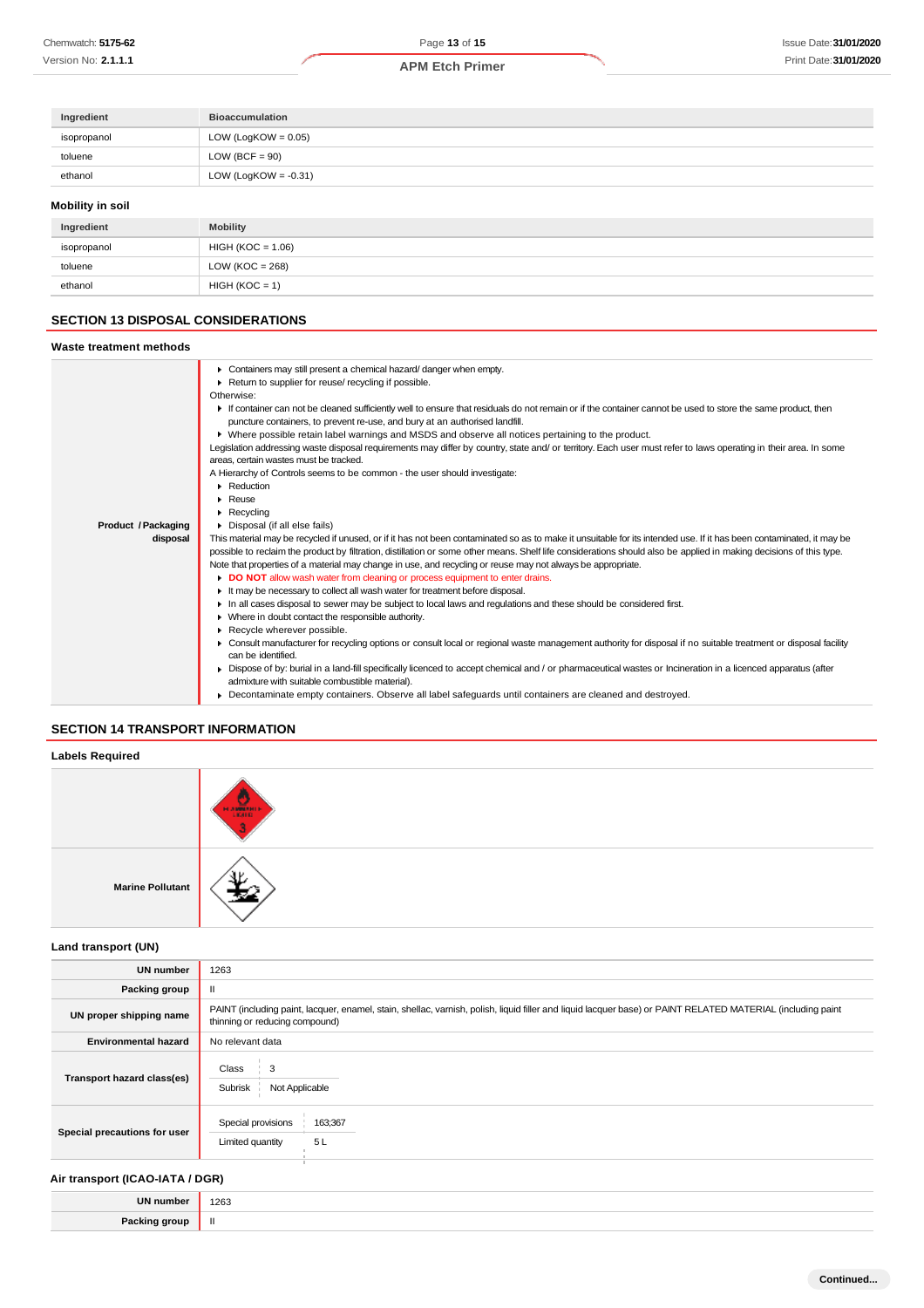| Ingredient       | <b>Bioaccumulation</b>  |
|------------------|-------------------------|
| isopropanol      | LOW (LogKOW = $0.05$ )  |
| toluene          | LOW (BCF = $90$ )       |
| ethanol          | LOW (LogKOW = $-0.31$ ) |
| Mobility in soil |                         |

#### **Mobility in soil**

| Ingredient  | <b>Mobility</b>     |
|-------------|---------------------|
| isopropanol | $HIGH (KOC = 1.06)$ |
| toluene     | LOW ( $KOC = 268$ ) |
| ethanol     | $HIGH (KOC = 1)$    |

# **SECTION 13 DISPOSAL CONSIDERATIONS**

| Containers may still present a chemical hazard/danger when empty.<br>Return to supplier for reuse/ recycling if possible.<br>Otherwise:<br>If container can not be cleaned sufficiently well to ensure that residuals do not remain or if the container cannot be used to store the same product, then<br>puncture containers, to prevent re-use, and bury at an authorised landfill.<br>▶ Where possible retain label warnings and MSDS and observe all notices pertaining to the product.<br>Legislation addressing waste disposal requirements may differ by country, state and/ or territory. Each user must refer to laws operating in their area. In some<br>areas, certain wastes must be tracked.<br>A Hierarchy of Controls seems to be common - the user should investigate:<br>Reduction<br>$\blacktriangleright$ Reuse<br>$\blacktriangleright$ Recycling<br>Product / Packaging<br>• Disposal (if all else fails)<br>This material may be recycled if unused, or if it has not been contaminated so as to make it unsuitable for its intended use. If it has been contaminated, it may be<br>disposal<br>possible to reclaim the product by filtration, distillation or some other means. Shelf life considerations should also be applied in making decisions of this type.<br>Note that properties of a material may change in use, and recycling or reuse may not always be appropriate.<br>DO NOT allow wash water from cleaning or process equipment to enter drains.<br>If the may be necessary to collect all wash water for treatment before disposal.<br>In all cases disposal to sewer may be subject to local laws and regulations and these should be considered first.<br>Where in doubt contact the responsible authority.<br>Recycle wherever possible. | Waste treatment methods |  |
|-------------------------------------------------------------------------------------------------------------------------------------------------------------------------------------------------------------------------------------------------------------------------------------------------------------------------------------------------------------------------------------------------------------------------------------------------------------------------------------------------------------------------------------------------------------------------------------------------------------------------------------------------------------------------------------------------------------------------------------------------------------------------------------------------------------------------------------------------------------------------------------------------------------------------------------------------------------------------------------------------------------------------------------------------------------------------------------------------------------------------------------------------------------------------------------------------------------------------------------------------------------------------------------------------------------------------------------------------------------------------------------------------------------------------------------------------------------------------------------------------------------------------------------------------------------------------------------------------------------------------------------------------------------------------------------------------------------------------------------------------------------------------------------|-------------------------|--|
| • Consult manufacturer for recycling options or consult local or regional waste management authority for disposal if no suitable treatment or disposal facility<br>can be identified.<br>► Dispose of by: burial in a land-fill specifically licenced to accept chemical and / or pharmaceutical wastes or Incineration in a licenced apparatus (after<br>admixture with suitable combustible material).<br>Decontaminate empty containers. Observe all label safequards until containers are cleaned and destroyed.                                                                                                                                                                                                                                                                                                                                                                                                                                                                                                                                                                                                                                                                                                                                                                                                                                                                                                                                                                                                                                                                                                                                                                                                                                                                |                         |  |

## **SECTION 14 TRANSPORT INFORMATION**

# **Labels Required** مد **Marine Pollutant**

**Land transport (UN)**

| <b>UN number</b>             | 1263                                                                                                                                                                                          |
|------------------------------|-----------------------------------------------------------------------------------------------------------------------------------------------------------------------------------------------|
| Packing group                | Ш                                                                                                                                                                                             |
| UN proper shipping name      | PAINT (including paint, lacquer, enamel, stain, shellac, varnish, polish, liquid filler and liquid lacquer base) or PAINT RELATED MATERIAL (including paint<br>thinning or reducing compound) |
| <b>Environmental hazard</b>  | No relevant data                                                                                                                                                                              |
| Transport hazard class(es)   | Class<br>Э<br>Subrisk<br>Not Applicable                                                                                                                                                       |
| Special precautions for user | Special provisions<br>163;367<br>5L<br>Limited quantity                                                                                                                                       |

## **Air transport (ICAO-IATA / DGR)**

| ĦN | 1263<br>$\sim$ $\sim$ |
|----|-----------------------|
| ъ. |                       |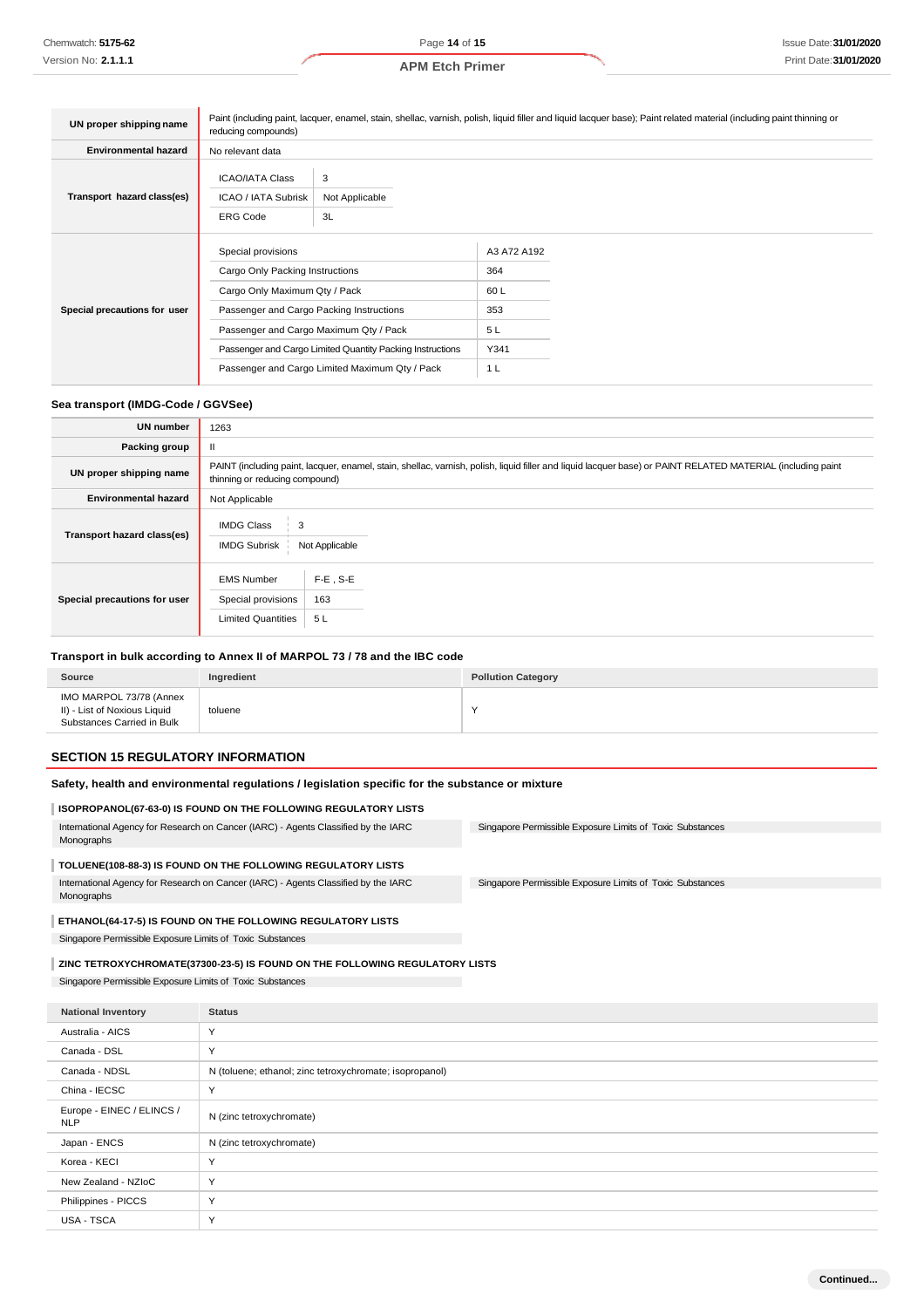| UN proper shipping name      | Paint (including paint, lacquer, enamel, stain, shellac, varnish, polish, liquid filler and liquid lacquer base); Paint related material (including paint thinning or<br>reducing compounds)                                                                                                |                           |                                                                   |  |  |
|------------------------------|---------------------------------------------------------------------------------------------------------------------------------------------------------------------------------------------------------------------------------------------------------------------------------------------|---------------------------|-------------------------------------------------------------------|--|--|
| <b>Environmental hazard</b>  | No relevant data                                                                                                                                                                                                                                                                            |                           |                                                                   |  |  |
| Transport hazard class(es)   | <b>ICAO/IATA Class</b><br>ICAO / IATA Subrisk<br><b>ERG Code</b>                                                                                                                                                                                                                            | 3<br>Not Applicable<br>3L |                                                                   |  |  |
| Special precautions for user | Special provisions<br>Cargo Only Packing Instructions<br>Cargo Only Maximum Qty / Pack<br>Passenger and Cargo Packing Instructions<br>Passenger and Cargo Maximum Qty / Pack<br>Passenger and Cargo Limited Quantity Packing Instructions<br>Passenger and Cargo Limited Maximum Qty / Pack |                           | A3 A72 A192<br>364<br>60 L<br>353<br>5L<br>Y341<br>1 <sub>L</sub> |  |  |

#### **Sea transport (IMDG-Code / GGVSee)**

| <b>UN number</b>             | 1263                                                                                                                                                                                          |  |  |  |
|------------------------------|-----------------------------------------------------------------------------------------------------------------------------------------------------------------------------------------------|--|--|--|
| Packing group                | $\mathbf{II}$                                                                                                                                                                                 |  |  |  |
| UN proper shipping name      | PAINT (including paint, lacquer, enamel, stain, shellac, varnish, polish, liquid filler and liquid lacquer base) or PAINT RELATED MATERIAL (including paint<br>thinning or reducing compound) |  |  |  |
| <b>Environmental hazard</b>  | Not Applicable                                                                                                                                                                                |  |  |  |
| Transport hazard class(es)   | <b>IMDG Class</b><br>3<br><b>IMDG Subrisk</b><br>Not Applicable                                                                                                                               |  |  |  |
| Special precautions for user | $F-E$ , S-E<br><b>EMS Number</b><br>163<br>Special provisions<br><b>Limited Quantities</b><br>5L                                                                                              |  |  |  |

## **Transport in bulk according to Annex II of MARPOL 73 / 78 and the IBC code**

| Source                                                                                | Ingredient | <b>Pollution Category</b> |
|---------------------------------------------------------------------------------------|------------|---------------------------|
| IMO MARPOL 73/78 (Annex<br>II) - List of Noxious Liquid<br>Substances Carried in Bulk | toluene    |                           |

## **SECTION 15 REGULATORY INFORMATION**

#### **Safety, health and environmental regulations / legislation specific for the substance or mixture**

#### **ISOPROPANOL(67-63-0) IS FOUND ON THE FOLLOWING REGULATORY LISTS**

| International Agency for Research on Cancer (IARC) - Agents Classified by the IARC | Singapore Permissible Exposure Limits of Toxic Substances |  |
|------------------------------------------------------------------------------------|-----------------------------------------------------------|--|
| Monographs                                                                         |                                                           |  |
|                                                                                    |                                                           |  |

## **TOLUENE(108-88-3) IS FOUND ON THE FOLLOWING REGULATORY LISTS**

International Agency for Research on Cancer (IARC) - Agents Classified by the IARC Monographs

Singapore Permissible Exposure Limits of Toxic Substances

#### **ETHANOL(64-17-5) IS FOUND ON THE FOLLOWING REGULATORY LISTS**

Singapore Permissible Exposure Limits of Toxic Substances

## **ZINC TETROXYCHROMATE(37300-23-5) IS FOUND ON THE FOLLOWING REGULATORY LISTS**

Singapore Permissible Exposure Limits of Toxic Substances

| <b>National Inventory</b>               | <b>Status</b>                                           |
|-----------------------------------------|---------------------------------------------------------|
| Australia - AICS                        | Y                                                       |
| Canada - DSL                            | Y                                                       |
| Canada - NDSL                           | N (toluene; ethanol; zinc tetroxychromate; isopropanol) |
| China - IECSC                           | Y                                                       |
| Europe - EINEC / ELINCS /<br><b>NLP</b> | N (zinc tetroxychromate)                                |
| Japan - ENCS                            | N (zinc tetroxychromate)                                |
| Korea - KECI                            | $\checkmark$                                            |
| New Zealand - NZIoC                     | Y                                                       |
| Philippines - PICCS                     | Υ                                                       |
| USA - TSCA                              | Y                                                       |